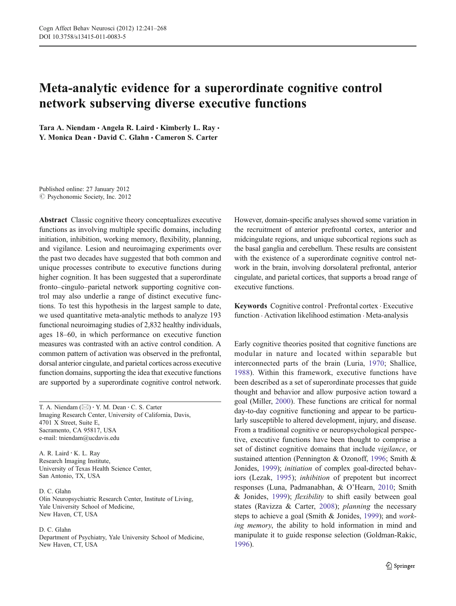# Meta-analytic evidence for a superordinate cognitive control network subserving diverse executive functions

Tara A. Niendam · Angela R. Laird · Kimberly L. Ray · Y. Monica Dean · David C. Glahn · Cameron S. Carter

Published online: 27 January 2012  $\odot$  Psychonomic Society, Inc. 2012

Abstract Classic cognitive theory conceptualizes executive functions as involving multiple specific domains, including initiation, inhibition, working memory, flexibility, planning, and vigilance. Lesion and neuroimaging experiments over the past two decades have suggested that both common and unique processes contribute to executive functions during higher cognition. It has been suggested that a superordinate fronto–cingulo–parietal network supporting cognitive control may also underlie a range of distinct executive functions. To test this hypothesis in the largest sample to date, we used quantitative meta-analytic methods to analyze 193 functional neuroimaging studies of 2,832 healthy individuals, ages 18–60, in which performance on executive function measures was contrasted with an active control condition. A common pattern of activation was observed in the prefrontal, dorsal anterior cingulate, and parietal cortices across executive function domains, supporting the idea that executive functions are supported by a superordinate cognitive control network.

T. A. Niendam  $(\boxtimes) \cdot Y$ . M. Dean  $\cdot$  C. S. Carter Imaging Research Center, University of California, Davis, 4701 X Street, Suite E, Sacramento, CA 95817, USA e-mail: tniendam@ucdavis.edu

A. R. Laird : K. L. Ray Research Imaging Institute, University of Texas Health Science Center, San Antonio, TX, USA

D. C. Glahn

Olin Neuropsychiatric Research Center, Institute of Living, Yale University School of Medicine, New Haven, CT, USA

D. C. Glahn

Department of Psychiatry, Yale University School of Medicine, New Haven, CT, USA

However, domain-specific analyses showed some variation in the recruitment of anterior prefrontal cortex, anterior and midcingulate regions, and unique subcortical regions such as the basal ganglia and cerebellum. These results are consistent with the existence of a superordinate cognitive control network in the brain, involving dorsolateral prefrontal, anterior cingulate, and parietal cortices, that supports a broad range of executive functions.

Keywords Cognitive control . Prefrontal cortex . Executive function . Activation likelihood estimation . Meta-analysis

Early cognitive theories posited that cognitive functions are modular in nature and located within separable but interconnected parts of the brain (Luria, [1970;](#page-24-0) Shallice, [1988](#page-26-0)). Within this framework, executive functions have been described as a set of superordinate processes that guide thought and behavior and allow purposive action toward a goal (Miller, [2000\)](#page-25-0). These functions are critical for normal day-to-day cognitive functioning and appear to be particularly susceptible to altered development, injury, and disease. From a traditional cognitive or neuropsychological perspective, executive functions have been thought to comprise a set of distinct cognitive domains that include vigilance, or sustained attention (Pennington & Ozonoff, [1996](#page-25-0); Smith & Jonides, [1999](#page-26-0)); initiation of complex goal-directed behaviors (Lezak, [1995](#page-24-0)); inhibition of prepotent but incorrect responses (Luna, Padmanabhan, & O'Hearn, [2010;](#page-24-0) Smith & Jonides, [1999](#page-26-0)); flexibility to shift easily between goal states (Ravizza & Carter, [2008](#page-26-0)); planning the necessary steps to achieve a goal (Smith & Jonides, [1999](#page-26-0)); and working memory, the ability to hold information in mind and manipulate it to guide response selection (Goldman-Rakic, [1996](#page-23-0)).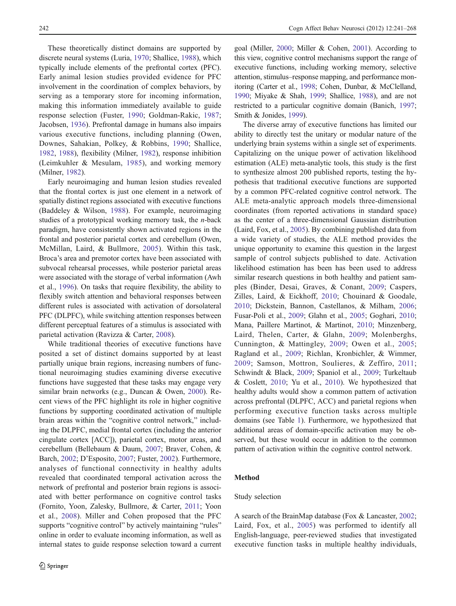These theoretically distinct domains are supported by discrete neural systems (Luria, [1970;](#page-24-0) Shallice, [1988\)](#page-26-0), which typically include elements of the prefrontal cortex (PFC). Early animal lesion studies provided evidence for PFC involvement in the coordination of complex behaviors, by serving as a temporary store for incoming information, making this information immediately available to guide response selection (Fuster, [1990](#page-22-0); Goldman-Rakic, [1987](#page-23-0); Jacobsen, [1936](#page-23-0)). Prefrontal damage in humans also impairs various executive functions, including planning (Owen, Downes, Sahakian, Polkey, & Robbins, [1990](#page-25-0); Shallice, [1982,](#page-26-0) [1988\)](#page-26-0), flexibility (Milner, [1982\)](#page-25-0), response inhibition (Leimkuhler & Mesulam, [1985\)](#page-24-0), and working memory (Milner, [1982](#page-25-0)).

Early neuroimaging and human lesion studies revealed that the frontal cortex is just one element in a network of spatially distinct regions associated with executive functions (Baddeley & Wilson, [1988](#page-20-0)). For example, neuroimaging studies of a prototypical working memory task, the  $n$ -back paradigm, have consistently shown activated regions in the frontal and posterior parietal cortex and cerebellum (Owen, McMillan, Laird, & Bullmore, [2005](#page-25-0)). Within this task, Broca's area and premotor cortex have been associated with subvocal rehearsal processes, while posterior parietal areas were associated with the storage of verbal information (Awh et al., [1996\)](#page-20-0). On tasks that require flexibility, the ability to flexibly switch attention and behavioral responses between different rules is associated with activation of dorsolateral PFC (DLPFC), while switching attention responses between different perceptual features of a stimulus is associated with parietal activation (Ravizza & Carter, [2008\)](#page-26-0).

While traditional theories of executive functions have posited a set of distinct domains supported by at least partially unique brain regions, increasing numbers of functional neuroimaging studies examining diverse executive functions have suggested that these tasks may engage very similar brain networks (e.g., Duncan & Owen, [2000](#page-22-0)). Recent views of the PFC highlight its role in higher cognitive functions by supporting coordinated activation of multiple brain areas within the "cognitive control network," including the DLPFC, medial frontal cortex (including the anterior cingulate cortex [ACC]), parietal cortex, motor areas, and cerebellum (Bellebaum & Daum, [2007](#page-20-0); Braver, Cohen, & Barch, [2002;](#page-20-0) D'Esposito, [2007](#page-21-0); Fuster, [2002](#page-22-0)). Furthermore, analyses of functional connectivity in healthy adults revealed that coordinated temporal activation across the network of prefrontal and posterior brain regions is associated with better performance on cognitive control tasks (Fornito, Yoon, Zalesky, Bullmore, & Carter, [2011](#page-22-0); Yoon et al., [2008\)](#page-27-0). Miller and Cohen proposed that the PFC supports "cognitive control" by actively maintaining "rules" online in order to evaluate incoming information, as well as internal states to guide response selection toward a current goal (Miller, [2000](#page-25-0); Miller & Cohen, [2001\)](#page-25-0). According to this view, cognitive control mechanisms support the range of executive functions, including working memory, selective attention, stimulus–response mapping, and performance monitoring (Carter et al., [1998;](#page-21-0) Cohen, Dunbar, & McClelland, [1990;](#page-21-0) Miyake & Shah, [1999;](#page-25-0) Shallice, [1988\)](#page-26-0), and are not restricted to a particular cognitive domain (Banich, [1997;](#page-20-0) Smith & Jonides, [1999\)](#page-26-0).

The diverse array of executive functions has limited our ability to directly test the unitary or modular nature of the underlying brain systems within a single set of experiments. Capitalizing on the unique power of activation likelihood estimation (ALE) meta-analytic tools, this study is the first to synthesize almost 200 published reports, testing the hypothesis that traditional executive functions are supported by a common PFC-related cognitive control network. The ALE meta-analytic approach models three-dimensional coordinates (from reported activations in standard space) as the center of a three-dimensional Gaussian distribution (Laird, Fox, et al., [2005](#page-24-0)). By combining published data from a wide variety of studies, the ALE method provides the unique opportunity to examine this question in the largest sample of control subjects published to date. Activation likelihood estimation has been has been used to address similar research questions in both healthy and patient samples (Binder, Desai, Graves, & Conant, [2009;](#page-20-0) Caspers, Zilles, Laird, & Eickhoff, [2010](#page-21-0); Chouinard & Goodale, [2010](#page-21-0); Dickstein, Bannon, Castellanos, & Milham, [2006;](#page-21-0) Fusar-Poli et al., [2009;](#page-22-0) Glahn et al., [2005;](#page-22-0) Goghari, [2010;](#page-23-0) Mana, Paillere Martinot, & Martinot, [2010](#page-24-0); Minzenberg, Laird, Thelen, Carter, & Glahn, [2009](#page-25-0); Molenberghs, Cunnington, & Mattingley, [2009;](#page-25-0) Owen et al., [2005;](#page-25-0) Ragland et al., [2009](#page-26-0); Richlan, Kronbichler, & Wimmer, [2009;](#page-26-0) Samson, Mottron, Soulieres, & Zeffiro, [2011;](#page-26-0) Schwindt & Black, [2009;](#page-26-0) Spaniol et al., [2009;](#page-26-0) Turkeltaub & Coslett, [2010](#page-27-0); Yu et al., [2010\)](#page-27-0). We hypothesized that healthy adults would show a common pattern of activation across prefrontal (DLPFC, ACC) and parietal regions when performing executive function tasks across multiple domains (see Table [1](#page-2-0)). Furthermore, we hypothesized that additional areas of domain-specific activation may be observed, but these would occur in addition to the common pattern of activation within the cognitive control network.

#### Method

## Study selection

A search of the BrainMap database (Fox & Lancaster, [2002;](#page-22-0) Laird, Fox, et al., [2005\)](#page-24-0) was performed to identify all English-language, peer-reviewed studies that investigated executive function tasks in multiple healthy individuals,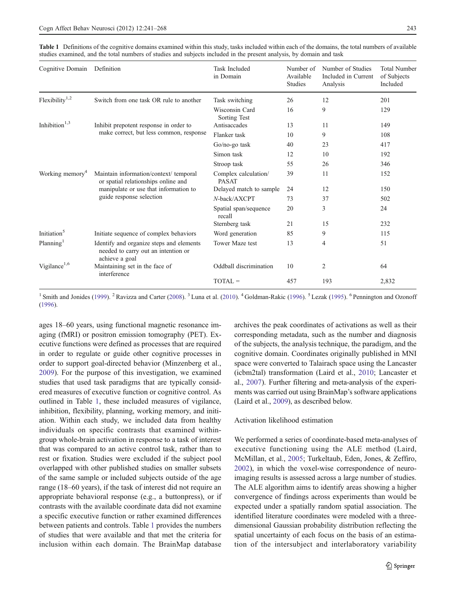<span id="page-2-0"></span>Table 1 Definitions of the cognitive domains examined within this study, tasks included within each of the domains, the total numbers of available studies examined, and the total numbers of studies and subjects included in the present analysis, by domain and task

| Cognitive Domain            | Definition                                                                                        | <b>Task Included</b><br>in Domain    | Number of<br>Available<br><b>Studies</b> | Number of Studies<br>Included in Current<br>Analysis | <b>Total Number</b><br>of Subjects<br>Included |
|-----------------------------|---------------------------------------------------------------------------------------------------|--------------------------------------|------------------------------------------|------------------------------------------------------|------------------------------------------------|
| $Flexibility^{1,2}$         | Switch from one task OR rule to another                                                           | Task switching                       | 26                                       | 12                                                   | 201                                            |
|                             |                                                                                                   | Wisconsin Card<br>Sorting Test       | 16                                       | 9                                                    | 129                                            |
| Inhibition $1,3$            | Inhibit prepotent response in order to                                                            | Antisaccades                         | 13                                       | 11                                                   | 149                                            |
|                             | make correct, but less common, response                                                           | Flanker task                         | 10                                       | 9                                                    | 108                                            |
|                             |                                                                                                   | Go/no-go task                        | 40                                       | 23                                                   | 417                                            |
|                             |                                                                                                   | Simon task                           | 12                                       | 10                                                   | 192                                            |
|                             |                                                                                                   | Stroop task                          | 55                                       | 26                                                   | 346                                            |
| Working memory <sup>4</sup> | Maintain information/context/temporal<br>or spatial relationships online and                      | Complex calculation/<br><b>PASAT</b> | 39                                       | 11                                                   | 152                                            |
|                             | manipulate or use that information to                                                             | Delayed match to sample              | 24                                       | 12                                                   | 150                                            |
|                             | guide response selection                                                                          | $N$ -back/AXCPT                      | 73                                       | 37                                                   | 502                                            |
|                             | Spatial span/sequence<br>recall                                                                   | 20                                   | 3                                        | 24                                                   |                                                |
|                             |                                                                                                   | Sternberg task                       | 21                                       | 15                                                   | 232                                            |
| Initiation <sup>5</sup>     | Initiate sequence of complex behaviors                                                            | Word generation                      | 85                                       | 9                                                    | 115                                            |
| Planning <sup>1</sup>       | Identify and organize steps and elements<br>needed to carry out an intention or<br>achieve a goal | Tower Maze test                      | 13                                       | 4                                                    | 51                                             |
| Vigilance <sup>1,6</sup>    | Maintaining set in the face of<br>interference                                                    | Oddball discrimination               | 10                                       | 2                                                    | 64                                             |
|                             |                                                                                                   | $TOTAL =$                            | 457                                      | 193                                                  | 2,832                                          |

<sup>1</sup> Smith and Jonides ([1999\)](#page-26-0). <sup>2</sup> Ravizza and Carter [\(2008\)](#page-26-0). <sup>3</sup> Luna et al. ([2010\)](#page-24-0). <sup>4</sup> Goldman-Rakic [\(1996](#page-23-0)). <sup>5</sup> Lezak ([1995](#page-24-0)). <sup>6</sup> Pennington and Ozonoff ([1996\)](#page-25-0).

ages 18–60 years, using functional magnetic resonance imaging (fMRI) or positron emission tomography (PET). Executive functions were defined as processes that are required in order to regulate or guide other cognitive processes in order to support goal-directed behavior (Minzenberg et al., [2009\)](#page-25-0). For the purpose of this investigation, we examined studies that used task paradigms that are typically considered measures of executive function or cognitive control. As outlined in Table 1, these included measures of vigilance, inhibition, flexibility, planning, working memory, and initiation. Within each study, we included data from healthy individuals on specific contrasts that examined withingroup whole-brain activation in response to a task of interest that was compared to an active control task, rather than to rest or fixation. Studies were excluded if the subject pool overlapped with other published studies on smaller subsets of the same sample or included subjects outside of the age range (18–60 years), if the task of interest did not require an appropriate behavioral response (e.g., a buttonpress), or if contrasts with the available coordinate data did not examine a specific executive function or rather examined differences between patients and controls. Table 1 provides the numbers of studies that were available and that met the criteria for inclusion within each domain. The BrainMap database archives the peak coordinates of activations as well as their corresponding metadata, such as the number and diagnosis of the subjects, the analysis technique, the paradigm, and the cognitive domain. Coordinates originally published in MNI space were converted to Talairach space using the Lancaster (icbm2tal) transformation (Laird et al., [2010](#page-24-0); Lancaster et al., [2007\)](#page-24-0). Further filtering and meta-analysis of the experiments was carried out using BrainMap's software applications (Laird et al., [2009](#page-24-0)), as described below.

#### Activation likelihood estimation

We performed a series of coordinate-based meta-analyses of executive functioning using the ALE method (Laird, McMillan, et al., [2005](#page-24-0); Turkeltaub, Eden, Jones, & Zeffiro, [2002](#page-27-0)), in which the voxel-wise correspondence of neuroimaging results is assessed across a large number of studies. The ALE algorithm aims to identify areas showing a higher convergence of findings across experiments than would be expected under a spatially random spatial association. The identified literature coordinates were modeled with a threedimensional Gaussian probability distribution reflecting the spatial uncertainty of each focus on the basis of an estimation of the intersubject and interlaboratory variability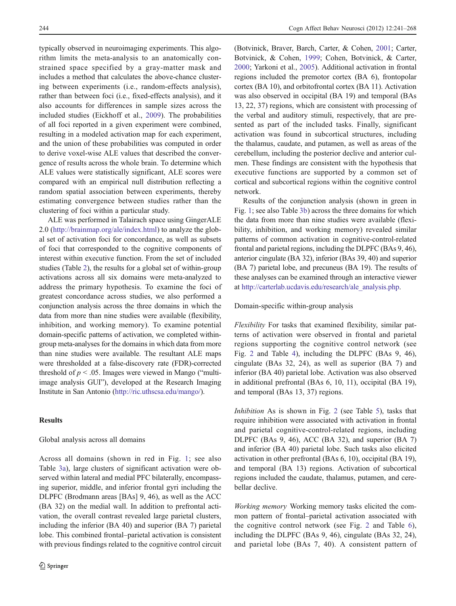typically observed in neuroimaging experiments. This algorithm limits the meta-analysis to an anatomically constrained space specified by a gray-matter mask and includes a method that calculates the above-chance clustering between experiments (i.e., random-effects analysis), rather than between foci (i.e., fixed-effects analysis), and it also accounts for differences in sample sizes across the included studies (Eickhoff et al., [2009](#page-22-0)). The probabilities of all foci reported in a given experiment were combined, resulting in a modeled activation map for each experiment, and the union of these probabilities was computed in order to derive voxel-wise ALE values that described the convergence of results across the whole brain. To determine which ALE values were statistically significant, ALE scores were compared with an empirical null distribution reflecting a random spatial association between experiments, thereby estimating convergence between studies rather than the clustering of foci within a particular study.

ALE was performed in Talairach space using GingerALE 2.0 [\(http://brainmap.org/ale/index.html](http://brainmap.org/ale/index.html)) to analyze the global set of activation foci for concordance, as well as subsets of foci that corresponded to the cognitive components of interest within executive function. From the set of included studies (Table [2\)](#page-4-0), the results for a global set of within-group activations across all six domains were meta-analyzed to address the primary hypothesis. To examine the foci of greatest concordance across studies, we also performed a conjunction analysis across the three domains in which the data from more than nine studies were available (flexibility, inhibition, and working memory). To examine potential domain-specific patterns of activation, we completed withingroup meta-analyses for the domains in which data from more than nine studies were available. The resultant ALE maps were thresholded at a false-discovery rate (FDR)-corrected threshold of  $p < 0.05$ . Images were viewed in Mango ("multiimage analysis GUI"), developed at the Research Imaging Institute in San Antonio [\(http://ric.uthscsa.edu/mango/\)](http://ric.uthscsa.edu/mango/).

## Results

#### Global analysis across all domains

Across all domains (shown in red in Fig. [1;](#page-13-0) see also Table [3a](#page-14-0)), large clusters of significant activation were observed within lateral and medial PFC bilaterally, encompassing superior, middle, and inferior frontal gyri including the DLPFC (Brodmann areas [BAs] 9, 46), as well as the ACC (BA 32) on the medial wall. In addition to prefrontal activation, the overall contrast revealed large parietal clusters, including the inferior (BA 40) and superior (BA 7) parietal lobe. This combined frontal–parietal activation is consistent with previous findings related to the cognitive control circuit (Botvinick, Braver, Barch, Carter, & Cohen, [2001](#page-20-0); Carter, Botvinick, & Cohen, [1999](#page-21-0); Cohen, Botvinick, & Carter, [2000](#page-21-0); Yarkoni et al., [2005](#page-27-0)). Additional activation in frontal regions included the premotor cortex (BA 6), frontopolar cortex (BA 10), and orbitofrontal cortex (BA 11). Activation was also observed in occipital (BA 19) and temporal (BAs 13, 22, 37) regions, which are consistent with processing of the verbal and auditory stimuli, respectively, that are presented as part of the included tasks. Finally, significant activation was found in subcortical structures, including the thalamus, caudate, and putamen, as well as areas of the cerebellum, including the posterior declive and anterior culmen. These findings are consistent with the hypothesis that executive functions are supported by a common set of cortical and subcortical regions within the cognitive control network.

Results of the conjunction analysis (shown in green in Fig. [1](#page-13-0); see also Table [3b](#page-14-0)) across the three domains for which the data from more than nine studies were available (flexibility, inhibition, and working memory) revealed similar patterns of common activation in cognitive-control-related frontal and parietal regions, including the DLPFC (BAs 9, 46), anterior cingulate (BA 32), inferior (BAs 39, 40) and superior (BA 7) parietal lobe, and precuneus (BA 19). The results of these analyses can be examined through an interactive viewer at [http://carterlab.ucdavis.edu/research/ale\\_analysis.php.](http://carterlab.ucdavis.edu/research/ale_analysis.php)

Domain-specific within-group analysis

Flexibility For tasks that examined flexibility, similar patterns of activation were observed in frontal and parietal regions supporting the cognitive control network (see Fig. [2](#page-15-0) and Table [4](#page-16-0)), including the DLPFC (BAs 9, 46), cingulate (BAs 32, 24), as well as superior (BA 7) and inferior (BA 40) parietal lobe. Activation was also observed in additional prefrontal (BAs 6, 10, 11), occipital (BA 19), and temporal (BAs 13, 37) regions.

Inhibition As is shown in Fig. [2](#page-15-0) (see Table [5\)](#page-17-0), tasks that require inhibition were associated with activation in frontal and parietal cognitive-control-related regions, including DLPFC (BAs 9, 46), ACC (BA 32), and superior (BA 7) and inferior (BA 40) parietal lobe. Such tasks also elicited activation in other prefrontal (BAs 6, 10), occipital (BA 19), and temporal (BA 13) regions. Activation of subcortical regions included the caudate, thalamus, putamen, and cerebellar declive.

Working memory Working memory tasks elicited the common pattern of frontal–parietal activation associated with the cognitive control network (see Fig. [2](#page-15-0) and Table [6](#page-18-0)), including the DLPFC (BAs 9, 46), cingulate (BAs 32, 24), and parietal lobe (BAs 7, 40). A consistent pattern of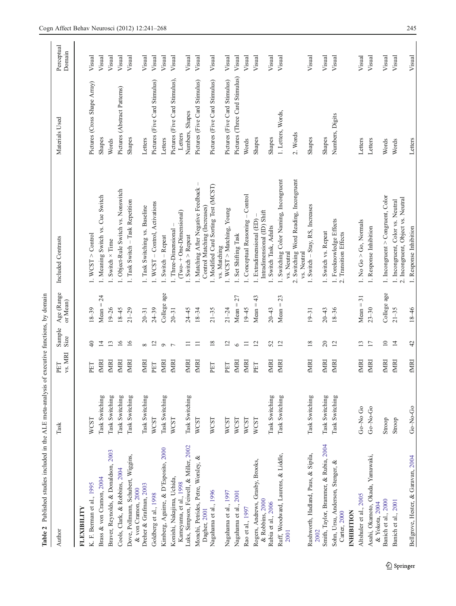<span id="page-4-0"></span>

| Table 2 Published studies included in the ALE meta-analysis |                |                |                      | of executive functions, by domain         |                                                                         |                                           |                      |
|-------------------------------------------------------------|----------------|----------------|----------------------|-------------------------------------------|-------------------------------------------------------------------------|-------------------------------------------|----------------------|
| Author                                                      | Task           | vs. MRI<br>EEI | Sample<br>Size       | Age (Range<br>or Mean)                    | Included Contrasts                                                      | Materials Used                            | Perceptual<br>Domain |
| <b>FLEXIBILITY</b>                                          |                |                |                      |                                           |                                                                         |                                           |                      |
| K. F. Bernan et al., 1995                                   | WCST           | PET            | $\frac{4}{\sqrt{2}}$ | $18 - 39$                                 | $1. WCST >$ Control                                                     | Pictures (Cross Shape Array)              | Visual               |
| Brass & von Cramon, 2004                                    | Task Switching | <b>ININ</b>    | $\overline{1}$       | $Mean = 24$                               | 1. Meaning Switch vs. Cue Switch                                        | Shapes                                    | Visual               |
| Braver, Reynolds, & Donaldson, 2003                         | Task Switching | <b>ININ</b>    | 13                   | $19 - 26$                                 | Switch × Time<br>$\overline{\phantom{a}}$                               | Words                                     | Visual               |
| Cools, Clark, & Robbins, 2004                               | Task Switching | <b>ININ</b>    | 16                   | $18 - 45$                                 | 1. Object-Rule Switch vs. Nonswitch                                     | Pictures (Abstract Patterns)              | Visual               |
| Dove, Pollmann, Schubert, Wiggins,<br>& von Cramon, 2000    | Task Switching | <b>ININ</b>    | 16                   | $21 - 29$                                 | 1. Task Switch - Task Repetition                                        | Shapes                                    | Visual               |
| Dreher & Grafman, 2003                                      | Task Switching | <b>ININ</b>    | $^{\circ}$           | $20 - 31$                                 | 1. Task Switching vs. Baseline                                          | Letters                                   | Visual               |
| Goldberg et al., 1998                                       | WCST           | PET            | 12                   | $24 - 39$                                 | 1. WCST - Control, Activations                                          | Pictures (Five Card Stimulus)             | Visual               |
| Kimberg, Aguirre, & D'Esposito, 2000                        | Task Switching | <b>ININ</b>    | $\circ$              | College age                               | Switch - Repeat                                                         | Letters                                   | Visual               |
| Konishi, Nakajima, Uchida,<br>Kameyama, et al., 1998        | WCST           | <b>ININ</b>    | $\overline{ }$       | $20 - 31$                                 | $(Two - + One-Dimensional)$<br>1. Three-Dimensional                     | Pictures (Five Card Stimulus),<br>Letters | Visual               |
| Luks, Simpson, Feiwell, & Miller, 2002                      | Task Switching | fMRI           | $\Box$               | $24 - 45$                                 | $1.$ Switch $>$ Repeat                                                  | Numbers, Shapes                           | Visual               |
| Monchi, Petrides, Petre, Worsley, &                         | WCST           | fMRI           | $\Box$               | $18 - 34$                                 | 1. Matching After Negative Feedback                                     | Pictures (Five Card Stimulus)             | Visual               |
| Nagahama et al., 1996<br>Dagher, 2001                       | <b>WCST</b>    | PET            | 18                   | $21 - 35$                                 | 1. Modified Card Sorting Test (MCST)<br>Control Matching (Increases)    | Pictures (Five Card Stimulus)             | Visual               |
|                                                             |                |                |                      |                                           | vs. Matching                                                            |                                           |                      |
| Nagahama et al., 1997                                       | WCST           | PET            | 12                   | $21 - 24$                                 | 1. WCST > Matching, Young                                               | Pictures (Five Card Stimulus)             | Visual               |
| Nagahama et al., 2001                                       | <b>WCST</b>    | <b>EXI</b>     | $\circ$              | $Mean = 27$                               | 1. Set Shifting Task                                                    | Pictures (Three Card Stimulus)            | Visual               |
| Rao et al., 1997                                            | <b>WCST</b>    | <b>ENRI</b>    | $\Box$               | $19 - 45$                                 | 1. Conceptual Reasoning - Control                                       | Words                                     | Visual               |
| Rogers, Andrews, Grasby, Brooks,<br>& Robbins, 2000         | WCST           | PET            | 12                   | 43<br>$Mean =$                            | Intradimensional (ID) Shift<br>1. Extradimensional (ED)                 | Shapes                                    | Visual               |
| Rubia et al., 2006                                          | Task Switching | fMRI           | 52                   | $20 - 43$                                 | 1. Switch Task, Adults                                                  | Shapes                                    | Visual               |
| Ruff, Woodward, Laurens, & Liddle,<br>2001                  | Task Switching | <b>INNI</b>    | 12                   | $Mean = 23$                               | 1. Switching Color Naming, Incongruent<br>vs. Neutral                   | 1. Letters, Words,                        | Visual               |
|                                                             |                |                |                      |                                           | 2. Switching Word Reading, Incongruent<br>vs. Neutral                   | 2. Words                                  |                      |
| Rushworth, Hadland, Paus, & Sipila,<br>2002                 | Task Switching | <b>ENINI</b>   | 18                   | $19 - 31$                                 | 1. Switch - Stay, RS, Increases                                         | Shapes                                    | Visual               |
| Smith, Taylor, Brammer, & Rubia, 2004                       | Task Switching | fMRI           | $\overline{c}$       | $20 - 43$                                 | 1. Switch vs. Repeat                                                    | Shapes                                    | Visual               |
| Sohn, Ursu, Anderson, Stenger, &<br>Carter, 2000            | Task Switching | fMRI           | 12                   | $18 - 36$                                 | 1. Foreknowledge Effects<br>2. Transition Effects                       | Numbers, Digits                           | Visual               |
| <b>INHIBITION</b>                                           |                |                |                      |                                           |                                                                         |                                           |                      |
| Altshuler et al., 2005                                      | $Go-No$ Go     | <b>ENRI</b>    | 13                   | $\overline{31}$<br>$\mathbf{I}$<br>Mean - | 1. No $Go > Go$ , Normals                                               | Letters                                   | Visual               |
| Asahi, Okamoto, Okada, Yamawaki,<br>& Yokota, 2004          | $Go-No-Go$     | <b>ININ</b>    | 17                   | $23 - 30$                                 | 1. Response Inhibition                                                  | Letters                                   | Visual               |
| Banich et al., 2000                                         | Stroop         | <b>EXIM</b>    | $\overline{10}$      | College age                               | 1. Incongruent > Congruent, Color                                       | Words                                     | Visual               |
| Banich et al., 2001                                         | Stroop         | <b>EXIME</b>   | 14                   | $21 - 35$                                 | 2. Incongruent, Object vs. Neutral<br>1. Incongruent, Color vs. Neutral | Words                                     | Visual               |
| Bellgrove, Hester, & Garavan, 2004                          | $Go-No-Go$     | fMRI           | 42                   | $18 - 46$                                 | 1. Response Inhibition                                                  | Letters                                   | Visual               |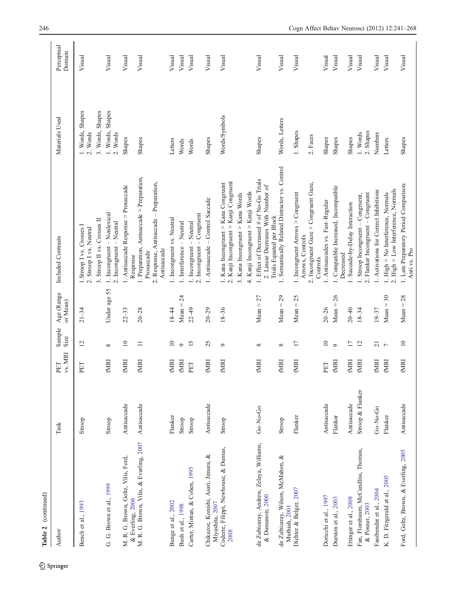| (continued)<br>Table 2                                      |                  |                |                 |                        |                                                                                                                                |                                                  |                      |
|-------------------------------------------------------------|------------------|----------------|-----------------|------------------------|--------------------------------------------------------------------------------------------------------------------------------|--------------------------------------------------|----------------------|
| Author                                                      | $\rm Task$       | vs. MRI<br>PET | Sample<br>Size  | Age (Range<br>or Mean) | Included Contrasts                                                                                                             | Materials Used                                   | Perceptual<br>Domain |
| Bench et al., 1993                                          | Stroop           | PET            | 12              | $21 - 34$              | 3. Stroop II vs. Crosses II<br>1.Stroop I vs. Crosses I<br>2. Stroop I vs. Neutral                                             | 1. Words, Shapes<br>2. Words<br>3. Words, Shapes | Visual               |
| G. G. Brown et al., 1999                                    | Stroop           | <b>EXIME</b>   | ${}^{\circ}$    | Under age 55           | 1. Incongruent - Nonlexical<br>2. Incongruent - Neutral                                                                        | 1. Words, Shapes<br>2. Words                     | Visual               |
| M. R. G. Brown, Goltz, Vilis, Ford,                         | Antisaccade      | <b>EXI</b>     | $\overline{10}$ | $22 - 33$              | 1. Antisaccade Response > Prosaccade                                                                                           | Shapes                                           | Visual               |
| M. R. G. Brown, Vilis, & Everling, 2007<br>& Everling, 2006 | Antisaccade      | <b>EXIME</b>   | $\Box$          | $20 - 28$              | 1. Preparation, Antisaccade > Preparation,<br>2. Response, Antisaccade - Preparation,<br>Antisaccade<br>Prosaccade<br>Response | Shapes                                           | Visual               |
| Bunge et al., 2002                                          | Flanker          | fmri           | $\equiv$        | $18 - 44$              | 1. Incongruent vs. Neutral                                                                                                     | Letters                                          | Visual               |
| Bush et al., 1998                                           | Stroop           | EMBI           | $\circ$         | $Mean = 24$            | 1. Interference - Neutral                                                                                                      | Words                                            | Visual               |
| Carter, Mintun, & Cohen, 1995                               | Stroop           | PET            | 15              | $22 - 49$              | 2. Incongruent - Congruent<br>I. Incongruent - Neutral                                                                         | Words                                            | Visual               |
| Chikazoe, Konishi, Asari, Jimura, &<br>Miyashita, 2007      | Antisaccade      | <b>ENDI</b>    | 25              | $20 - 29$              | 1. Antisaccade - Control Saccade                                                                                               | Shapes                                           | Visual               |
| Coderre, Filippi, Newhouse, & Dumas,<br>2008                | Stroop           | <b>ENRI</b>    | $\sigma$        | $18 - 36$              | 2. Kanji Incongruent > Kanji Congruent<br>1. Kana Incongruent > Kana Congruent                                                 | Words/Symbols                                    | Visual               |
|                                                             |                  |                |                 |                        | 4. Kanji Incongruent > Kanji Words<br>3. Kana Incongruent > Kana Words                                                         |                                                  |                      |
| de Zubicaray, Andrew, Zelaya, Williams,<br>& Dumanoir, 2000 | $Go-No-Go$       | <b>ENRI</b>    | $\infty$        | $Mean = 27$            | 1. Effect of Decreased # of No-Go Trials<br>2. Linear Decreases With Number of<br>Trials Equated per Block                     | Shapes                                           | Visual               |
| de Zubicaray, Wilson, McMahon, &<br>Muthiah, 2001           | Stroop           | <b>EXI</b>     | ${}^{\circ}$    | $Mean = 29$            | 1. Semantically Related Distractor vs. Control                                                                                 | Words, Letters                                   | Visual               |
| Dichter & Belger, 2007                                      | Flanker          | fmiri          | $\overline{17}$ | $Mean = 25$            | 1. Incongruent Arrows > Congruent<br>Arrows, Controls                                                                          | 1. Shapes                                        | Visual               |
|                                                             |                  |                |                 |                        | 2. Incongruent Gaze $>$ Congruent Gaze,<br>Controls                                                                            | 2. Faces                                         |                      |
| Doricchi et al., 1997                                       | Antisaccade      | PET            | $\overline{10}$ | $20 - 26$              | 1. Antisaccades vs. Fast-Regular                                                                                               | Shapes                                           | Visual               |
| Durston et al., 2003                                        | Flanker          | <b>ININ</b>    | $\circ$         | $Mean = 26$            | 1. Compatible Increased, Incompatible<br>Decreased                                                                             | Shapes                                           | Visual               |
| Ettinger et al., 2008                                       | Antisaccade      | <b>ININ</b>    | 17              | $20 - 40$              | 1. Saccade-by-Delay Interaction                                                                                                | Shapes                                           | Visual               |
| Fan, Flombaum, McCandliss, Thomas,<br>& Posner, 2003        | Stroop & Flanker | fMRI           | 12              | $18 - 34$              | 2. Flanker Incongruent - Congruent<br>1. Stroop Incongruent - Congruent,                                                       | 2. Shapes<br>1. Words                            | Visual               |
| Fassbender et al., 2004                                     | $Go-No-Go$       | <b>ININ</b>    | $\overline{21}$ | $19 - 37$              | 1. Activations for Correct Inhibitions                                                                                         | Numbers                                          | Visual               |
| K. D. Fitzgerald et al., 2005                               | Flanker          | <b>EXIME</b>   | $\overline{ }$  | $30\,$<br>$Mean =$     | $2.$ High $>$ Low Interference, Normals<br>1. High > No Interference, Normals                                                  | Letters                                          | Visual               |
| Ford, Goltz, Brown, & Everling, 2005                        | Antisaccade      | <b>ENINI</b>   | $\overline{10}$ | $Mean = 28$            | 1. Late Preparatory Period Comparison:<br>Anti vs. Pro                                                                         | Shapes                                           | Visual               |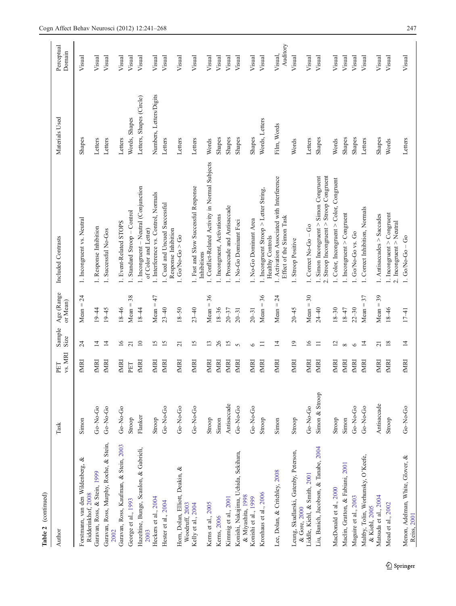| Table 2 (continued)                                       |                |                |                 |                        |                                                                              |                          |                      |
|-----------------------------------------------------------|----------------|----------------|-----------------|------------------------|------------------------------------------------------------------------------|--------------------------|----------------------|
| Author                                                    | Task           | vs. MRI<br>PET | Sample<br>Size  | Age (Range<br>or Mean) | Included Contrasts                                                           | Materials Used           | Perceptual<br>Domain |
| Forstmann, van den Wildenberg, &<br>Ridderinkhof, 2008    | Simon          | <b>ININI</b>   | 24              | $Mean = 24$            | 1. Incongruent vs. Neutral                                                   | Shapes                   | Visual               |
| Garavan, Ross, & Stein, 1999                              | $Go-No-Go$     | <b>EXI</b>     | $\overline{1}$  | $19 - 44$              | 1. Response Inhibition                                                       | Letters                  | Visual               |
| Garavan, Ross, Murphy, Roche, & Stein,<br>2002            | $Go-No-Go$     | <b>ININ</b>    | $\overline{14}$ | $19 - 45$              | 1. Successful No-Gos                                                         | Letters                  | Visual               |
| Garavan, Ross, Kaufman, & Stein, 2003                     | $Go-No-Go$     | <b>EXPLEM</b>  | 16              | $18 - 46$              | I. Event-Related STOPS                                                       | Letters                  | Visual               |
| George et al., 1993                                       | Stroop         | PET            | $\overline{21}$ | 38<br>$Mean =$         | Standard Stroop - Control                                                    | Words, Shapes            | Visual               |
| Hazeltine, Bunge, Scanlon, & Gabrieli,<br>2003            | Flanker        | <b>EXI</b>     | $\overline{10}$ | $18 - 44$              | I. Incongruent - Neutral (Conjunction<br>of Color and Letter)                | Letters, Shapes (Circle) | Visual               |
| Heckers et al., 2004                                      | Stroop         | fMRI           | 15              | $Mean = 47$            | I. Interference vs. Control, Normals                                         | Numbers, Letters/Digits  | Visual               |
| Hester et al., 2004                                       | $Go-No-Go$     | <b>EXAMPLE</b> | 15              | $23 - 40$              | . Cued and Uncued Successful                                                 | Letters                  | Visual               |
| Horn, Dolan, Elliott, Deakin, &<br>Woodruff, 2003         | $Go-No-Go$     | <b>EXI</b>     | $\overline{21}$ | $18 - 50$              | Response Inhibition<br>1. $GoNo-Go > Go$                                     | Letters                  | Visual               |
| Kelly et al., 2004                                        | $Go-No-Go$     | fMRI           | 15              | $23 - 40$              | I. Fast and Slow Successful Response<br>Inhibitions                          | Letters                  | Visual               |
| Kerns et al., 2005                                        | Stroop         | fMRI           | 13              | 36<br>$Mean =$         | . Conflict-Related Activity in Normal Subjects                               | Words                    | Visual               |
| Kerns, 2006                                               | Simon          | <b>EXITE</b>   | 26              | $18 - 36$              | . Incongruent, Activations                                                   | Shapes                   | Visual               |
| Kimmig et al., 2001                                       | Antisaccade    | fMRI           | $\overline{15}$ | $20 - 37$              | . Prosaccade and Antisaccade                                                 | Shapes                   | Visual               |
| Konishi, Nakajima, Uchida, Sekihara,<br>& Miyashita, 1998 | $Go-No-Go$     | fMRI           | $\sqrt{2}$      | $20 - 31$              | 1. No-Go Dominant Foci                                                       | Shapes                   | Visual               |
| Konishi et al., 1999                                      | $Go-No-Go$     | fMRI           | $\circ$         | $20 - 31$              | I. No-Go Dominant Area                                                       | Shapes                   | Visual               |
| Kronhaus et al., 2006                                     | Stroop         | <b>EXIM</b>    | $\equiv$        | $Mean = 36$            | 1. Incongruent Stroop > Letter String,<br>Healthy Controls                   | Words, Letters           | Visual               |
| Lee, Dolan, & Critchley, 2008                             | Simon          | <b>ININI</b>   | $\overline{1}$  | $Mean = 24$            | . Activation Associated with Interference<br>Effect of the Simon Task        | Film, Words              | Auditory<br>Visual,  |
| Leung, Skudlarski, Gatenby, Peterson,<br>& Gore, 2000     | Stroop         | <b>ININ</b>    | $\overline{19}$ | $20 - 45$              | 1. Stroop Positive                                                           | Words                    | Visual               |
| Liddle, Kiehl, & Smith, 2001                              | $Go-No-Go$     | fMRI           | $\overline{16}$ | $Mean = 30$            | 1. Correct No-Go - Go                                                        | Letters                  | Visual               |
| Liu, Banich, Jacobson, & Tanabe, 2004                     | Simon & Stroop | <b>ININ</b>    | $\Box$          | $24 - 40$              | Simon Incongruent > Simon Congruent<br>Stroop Incongruent > Stroop Congruent | Shapes                   | Visual               |
| MacDonald et al., 2000                                    | Stroop         | <b>EXIMP</b>   | 12              | $18 - 30$              | Color, Incongruent > Color, Congruent                                        | Words                    | Visual               |
| Maclin, Gratton, & Fabiani, 2001                          | Simon          | <b>EXIM</b>    | $\infty$        | $18 - 47$              | $1.$ Incongruent $>$ Congruent                                               | Shapes                   | Visual               |
| Maguire et al., 2003                                      | $Go-No-Go$     | EMIR           | $\circ$         | $22 - 30$              | L. Go/No-Go vs. Go                                                           | Shapes                   | Visual               |
| Maltby, Tolin, Worhunsky, O'Keefe,<br>& Kiehl, 2005       | $Go-No-Go$     | fMRI           | $\overline{4}$  | $Mean = 37$            | 1. Correct Inhibition, Normals                                               | Letters                  | Visual               |
| Matsuda et al., 2004                                      | Antisaccade    | <b>INDE</b>    | $\overline{c}$  | $Mean = 39$            | 1. Antisaccades > Saccades                                                   | Shapes                   | Visual               |
| Mead et al., 2002                                         | Stroop         | fMRI           | 18              | $18 - 46$              | 1. Incongruent $>$ Congruent<br>2. Incongruent $>$ Neutral                   | Words                    | Visual               |
| Menon, Adelman, White, Glover, &<br>Reiss. 2001           | $Go-No-Go$     | <b>ININI</b>   | $\overline{1}$  | $17 - 41$              | $1.$ Go/No-Go $-$ Go                                                         | Letters                  | Visual               |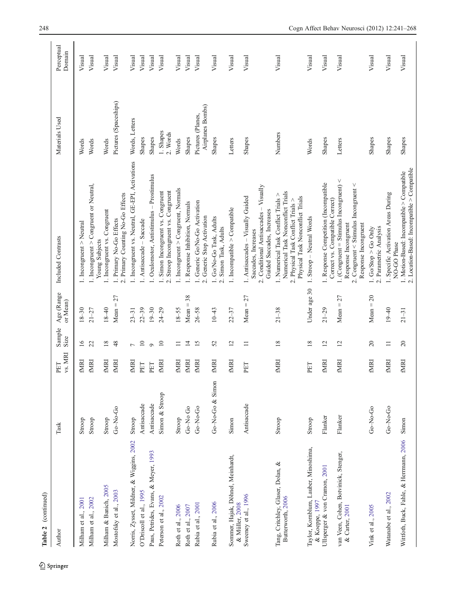| Table 2 (continued)                                    |                  |                |                 |                        |                                                                                                                                                    |                                       |                      |
|--------------------------------------------------------|------------------|----------------|-----------------|------------------------|----------------------------------------------------------------------------------------------------------------------------------------------------|---------------------------------------|----------------------|
| Author                                                 | Task             | vs. MRI<br>PET | Sample<br>Size  | Age (Range<br>or Mean) | Included Contrasts                                                                                                                                 | Materials Used                        | Perceptual<br>Domain |
| Milham et al., 2001                                    | Stroop           | <b>EXIMP</b>   | 16              | $18 - 30$              | 1. Incongruent > Neutral                                                                                                                           | Words                                 | Visual               |
| Milham et al., 2002                                    | Stroop           | <b>INNI</b>    | 22              | $21 - 27$              | $1.$ Incongruent $>$ Congruent or Neutral,<br>Young Subjects                                                                                       | Words                                 | Visual               |
| Milham & Banich, 2005                                  | Stroop           | <b>EXI</b>     | $18\,$          | $18 - 40$              | 1. Incongruent vs. Congruent                                                                                                                       | Words                                 | Visual               |
| Mostofsky et al., 2003                                 | $Go-No-Go$       | <b>ININ</b>    | 48              | $Mean = 27$            | 2. Primary Counting No-Go Effects<br>1. Primary No-Go Effects                                                                                      | Pictures (Spaceships)                 | Visual               |
| Norris, Zysset, Mildner, & Wiggins, 2002               | Stroop           | <b>ININ</b>    | $\overline{z}$  | $23 - 31$              | 1. Incongruent vs. Neutral, GE-EPI, Activations                                                                                                    | Words, Letters                        | Visual               |
| O'Driscoll et al., 1995                                | Antisaccade      | PET            | $\overline{10}$ | $22 - 39$              | 1. Antisaccade - Saccade                                                                                                                           | Shapes                                | Visual               |
| Paus, Petrides, Evans, & Meyer, 1993                   | Antisaccade      | PET            | $\circ$         | $19 - 30$              | 1. Oculomotor, Antistimulus - Prostimulus                                                                                                          | Shapes                                | Visual               |
| Peterson et al., 2002                                  | Simon & Stroop   | fmri           | 10              | $24 - 29$              | 1. Simon Incongruent vs. Congruent<br>2. Stroop Incongruent vs. Congruent                                                                          | . Shapes<br>2. Words                  | Visual               |
| Roth et al., 2006                                      | Stroop           | EMIR           | $\Box$          | $18 - 55$              | 1. Incongruent $>$ Congruent, Normals                                                                                                              | Words                                 | Visual               |
| Roth et al., 2007                                      | $Go-No$ Go       | E              | $\overline{1}$  | $Mean = 38$            | 1. Response Inhibition, Normals                                                                                                                    | Shapes                                | Visual               |
| Rubia et al., 2001                                     | $Go-No-Go$       | <b>EXE</b>     | 15              | $26 - 58$              | 1. Generic Go/No-Go Activation<br>2. Generic Stop Activation                                                                                       | Airplanes Bombs)<br>Pictures (Planes, | Visual               |
| Rubia et al., 2006                                     | Go-No-Go & Simon | <b>ENRI</b>    | 52              | $10 - 43$              | 1. Go/No-Go Task, Adults<br>2. Simon Task, Adults                                                                                                  | Shapes                                | Visual               |
| Sommer, Hajak, Döhnel, Meinhardt,<br>& Müller, 2008    | Simon            | <b>ENDI</b>    | 12              | $22 - 37$              | 1. Incompatible > Compatible                                                                                                                       | Letters                               | Visual               |
| Sweeney et al., 1996                                   | Antisaccade      | PET            | $\Box$          | $Mean = 27$            | 2. Conditional Antisaccades - Visually<br>1. Antisaccades - Visually Guided<br>Guided Saccades, Increases<br>Saccades, Increases                   | Shapes                                | Visual               |
| Tang, Critchley, Glaser, Dolan, &<br>Butterworth, 2006 | Stroop           | <b>ENRI</b>    | 18              | $21 - 38$              | Numerical Task Nonconflict Trials<br>1. Numerical Task Conflict Trials ><br>Physical Task Nonconflict Trials<br>2. Physical Task Conflict Trials > | Numbers                               | Visual               |
| Taylor, Kornblum, Lauber, Minoshima,<br>& Koeppe, 1997 | Stroop           | PET            | 18              | Under age 30           | 1. Stroop - Neutral Words                                                                                                                          | Words                                 | Visual               |
| Ullsperger & von Cramon, 2001                          | Flanker          | <b>ININI</b>   | 12              | $21 - 29$              | 1. Response Competition (Incompatible<br>Correct vs. Compatible Correct)                                                                           | Shapes                                | Visual               |
| van Veen, Cohen, Botvinick, Stenger,<br>& Carter, 2001 | Flanker          | <b>ENINI</b>   | 12              | $Mean = 27$            | 1. (Congruent = Stimulus Incongruent) $\leq$<br>2. Congruent $\le$ Stimulus Incongruent $\le$<br>Response Incongruent<br>Response Incongruent      | Letters                               | Visual               |
| Vink et al., 2005                                      | $Go-No-Go$       | <b>ENDI</b>    | 20              | $Mean = 20$            | 2. Parametric Analysis<br>1. $Go/Stop > Go$ Only                                                                                                   | Shapes                                | Visual               |
| Watanabe et al., 2002                                  | $Go-No-Go$       | fmel           | $\Box$          | $19 - 40$              | 1. Specific Activation Areas During<br>NO-GO Phase                                                                                                 | Shapes                                | Visual               |
| Wittfoth, Buck, Fahle, & Herrmann, 2006                | Simon            | fmel           | $\overline{c}$  | $21 - 31$              | 2. Location-Based: Incompatible $>$ Compatible<br>1. Motion-Based: Incompatible > Compatible                                                       | Shapes                                | Visual               |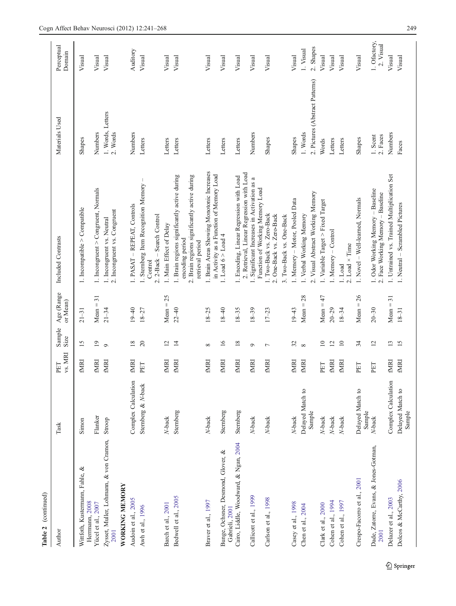| Table 2 (continued)                                  |                            |                |                 |                        |                                                                                                                                     |                                             |                           |
|------------------------------------------------------|----------------------------|----------------|-----------------|------------------------|-------------------------------------------------------------------------------------------------------------------------------------|---------------------------------------------|---------------------------|
| Author                                               | Task                       | vs. MRI<br>PET | Sample<br>Size  | Age (Range<br>or Mean) | Included Contrasts                                                                                                                  | Materials Used                              | Perceptual<br>Domain      |
| Wittfoth, Kustermann, Fahle, &<br>Herrmann, 2008     | Simon                      | <b>ENNI</b>    | 15              | $21 - 31$              | 1. Incompatible $>$ Compatible                                                                                                      | Shapes                                      | Visual                    |
| Yücel et al., 2007                                   | Flanker                    | fMRI           | $\overline{19}$ | $Mean = 31$            | 1. Incongruent > Congruent, Normals                                                                                                 | Numbers                                     | Visual                    |
| Zysset, Muller, Lohmann, & von Cramon,<br>2001       | Stroop                     | <b>ININ</b>    | $\circ$         | $21 - 34$              | 2. Incongruent vs. Congruent<br>1. Incongruent vs. Neutral                                                                          | 1. Words, Letters<br>2. Words               | Visual                    |
| WORKING MEMORY                                       |                            |                |                 |                        |                                                                                                                                     |                                             |                           |
| Audoin et al., 2005                                  | Complex Calculation        | fMRI           | $18\,$          | $19 - 40$              | 1. PASAT - REPEAT, Controls                                                                                                         | Numbers                                     | Auditory                  |
| Awh et al., 1996                                     | Sternberg & N-back         | PET            | $\overline{c}$  | $18 - 27$              | 1. Stemberg Item Recognition Memory<br>2. 2-Back - Search Control<br>Control                                                        | Letters                                     | Visual                    |
| Barch et al., 2001                                   | $N$ -back                  | <b>ENINI</b>   | 12              | $Mean = 25$            | 1. Main Effect of Delay                                                                                                             | Letters                                     | Visual                    |
| Bedwell et al., 2005                                 | Stemberg                   | <b>INNI</b>    | $\overline{1}$  | $22 - 40$              | 1. Brain regions significantly active during<br>2. Brain regions significantly active during<br>encoding period<br>retrieval period | Letters                                     | Visual                    |
| Braver et al., 1997                                  | N-back                     | <b>ENINI</b>   | ${}^{\circ}$    | $18 - 25$              | 1. Brain Areas Showing Monotonic Increases<br>in Activity as a Function of Memory Load                                              | Letters                                     | Visual                    |
| Bunge, Ochsner, Desmond, Glover, &<br>Gabrieli, 2001 | Sternberg                  | <b>ENRI</b>    | $\frac{6}{2}$   | $18 - 40$              | 1. Load $6 >$ Load 4                                                                                                                | Letters                                     | Visual                    |
| Cairo, Liddle, Woodward, & Ngan, 2004                | Stemberg                   | <b>ENRI</b>    | 18              | $18 - 35$              | 2. Retrieval, Linear Regression with Load<br>1. Encoding, Linear Regression with Load                                               | Letters                                     | Visual                    |
| Callicott et al., 1999                               | $N$ -back                  | <b>ENDI</b>    | $\circ$         | $18 - 39$              | 1. Significant Increases in Activation as a<br>Function of Working Memory Load                                                      | Numbers                                     | Visual                    |
| Carlson et al., 1998                                 | $N$ -back                  | <b>ENRI</b>    | $\overline{ }$  | $17 - 23$              | 1. Two-Back vs. Zero-Back<br>2. One-Back vs. Zero-Back<br>3. Two-Back vs. One-Back                                                  | Shapes                                      | Visual                    |
| Casey et al., 1998                                   | N-back                     | <b>EXI</b>     | 32              | $19 - 43$              | 1. Memory - Motor, Pooled Data                                                                                                      | Shapes                                      | Visual                    |
| Chen et al., 2004                                    | Delayed Match to<br>Sample | <b>ENRI</b>    | $\infty$        | 28<br>$Mean =$         | 2. Visual Abstract Working Memory<br>1. Verbal Working Memory                                                                       | 2. Pictures (Abstract Patterns)<br>1. Words | 2. Shapes<br>1. Visual    |
| Clark et al., 2000                                   | $N$ -back                  | PET            | $\overline{10}$ | 47<br>$Mean =$         | 1. Variable Target > Fixed Target                                                                                                   | Words                                       | Visual                    |
| Cohen et al., 1994                                   | $N$ -back                  | <b>ENINI</b>   | 12              | $20 - 29$              | 1. Memory - Control                                                                                                                 | Letters                                     | Visual                    |
| Cohen et al., 1997                                   | $N$ -back                  | <b>EXIME</b>   | 10              | $18 - 34$              | 2. Load $\times$ Time<br>1. Load                                                                                                    | Letters                                     | Visual                    |
| Crespo-Facorro et al., 2001                          | Delayed Match to<br>Sample | PET            | 34              | $Mean = 26$            | 1. Novel - Well-learned, Normals                                                                                                    | Shapes                                      | Visual                    |
| Dade, Zatorre, Evans, & Jones-Gotman,<br>2001        | N-back                     | PET            | 12              | $20 - 30$              | 1. Odor Working Memory - Baseline<br>2. Face Working Memory - Baseline                                                              | 2. Faces<br>1. Scent                        | 1. Ofactory,<br>2. Visual |
| Delazer et al., 2003                                 | Complex Calculation        | <b>ININ</b>    | 13              | $Mean = 31$            | 1. Untrained vs. Trained Multiplication Set                                                                                         | Numbers                                     | Visual                    |
| Dolcos & McCarthy, 2006                              | Delayed Match to<br>Sample | <b>fMRI</b>    | 15              | $18 - 31$              | 1. Neutral - Scrambled Pictures                                                                                                     | Faces                                       | Visual                    |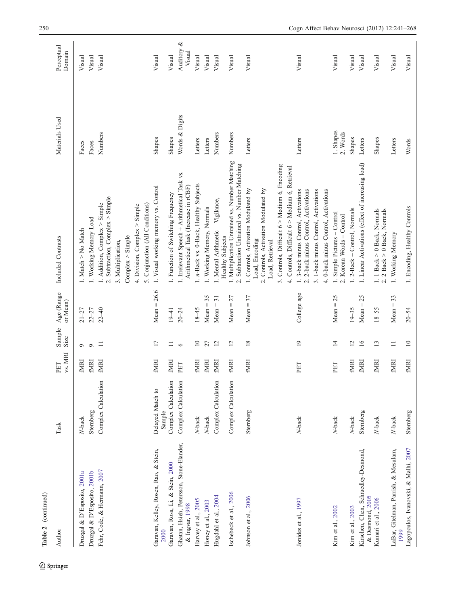| Table 2 (continued)                                        |                            |                |                 |                             |                                                                                                                                                                                                                           |                       |                         |
|------------------------------------------------------------|----------------------------|----------------|-----------------|-----------------------------|---------------------------------------------------------------------------------------------------------------------------------------------------------------------------------------------------------------------------|-----------------------|-------------------------|
| Author                                                     | Task                       | vs. MRI<br>PET | Sample<br>Size  | Age (Range<br>or Mean)      | Included Contrasts                                                                                                                                                                                                        | Materials Used        | Perceptual<br>Domain    |
| Druzgal & D'Esposito, 2001a                                | $N$ -back                  | <b>ININI</b>   | $\bullet$       | $21 - 27$                   | 1. Match > No Match                                                                                                                                                                                                       | Faces                 | Visual                  |
| Druzgal & D'Esposito, 2001b                                | Sternberg                  | fMRI           | $\circ$         | $22 - 27$                   | 1. Working Memory Load                                                                                                                                                                                                    | Faces                 | Visual                  |
| Fehr, Code, & Hermann, 2007                                | Complex Calculation        | fMRI           | $\Box$          | $22 - 40$                   | Subtraction, Complex > Simple<br>1. Addition, Complex > Simple<br>$\overline{\mathcal{L}}$                                                                                                                                | Numbers               | Visual                  |
|                                                            |                            |                |                 |                             | 3. Multiplication,                                                                                                                                                                                                        |                       |                         |
|                                                            |                            |                |                 |                             | Complex > Simple                                                                                                                                                                                                          |                       |                         |
|                                                            |                            |                |                 |                             | 4. Division, Complex $>$ Simple                                                                                                                                                                                           |                       |                         |
|                                                            |                            |                |                 |                             | 5. Conjunction (All Conditions)                                                                                                                                                                                           |                       |                         |
| Garavan, Kelley, Rosen, Rao, & Stein,<br>2000              | Delayed Match to<br>Sample | <b>EXIM</b>    | 17              | $Mean = 26.6$               | 1. Visual working memory vs. Control                                                                                                                                                                                      | Shapes                | Visual                  |
| Garavan, Ross, Li, & Stein, 2000                           | Complex Calculation        | <b>ININI</b>   | $\Box$          | $19 - 41$                   | 1. Function of Switching Frequency                                                                                                                                                                                        | Shapes                | Visual                  |
| Ghatan, Hsieh, Petersson, Stone-Elander,<br>& Ingvar, 1998 | Complex Calculation        | PET            | $\circ$         | $20 - 24$                   | 1. Irrelevant Speech + Arithmetical Task vs.<br>Arithmetical Task (Increase in rCBF)                                                                                                                                      | Words & Digits        | ళ<br>Auditory<br>Visual |
| Harvey et al., 2005                                        | N-back                     | <b>EXAMPLE</b> | $\overline{10}$ | $18 - 45$                   | 1. n-Back vs. 0-Back, Healthy Subjects                                                                                                                                                                                    | Letters               | Visual                  |
| Honey et al., 2003                                         | $N$ -back                  | <b>EXI</b>     | 27              | $Mean = 35$                 | . Working Memory, Normals                                                                                                                                                                                                 | Letters               | Visual                  |
| Hugdahl et al., 2004                                       | Complex Calculation        | <b>EXIM</b>    | 12              | $\overline{31}$<br>$Mean =$ | 1. Mental Arithmetic - Vigilance,                                                                                                                                                                                         | Numbers               | Visual                  |
| Ischebeck et al., 2006                                     | Complex Calculation        | <b>ININI</b>   | 12              | $Mean = 27$                 | 1. Multiplication Untrained vs. Number Matching<br>Subtraction Untrained vs. Number Matching<br>Healthy Subjects<br>$\overline{\mathcal{C}}$                                                                              | Numbers               | Visual                  |
| Johnson et al., 2006                                       | Stemberg                   | <b>ININI</b>   | 18              | $Mean = 37$                 | 3. Controls, Difficult $6 >$ Medium 6, Encoding<br>Controls, Difficult 6 > Medium 6, Retrieval<br>1. Controls, Activation Modulated by<br>2. Controls, Activation Modulated by<br>Load, Encoding<br>Load, Retrieval<br>4. | Letters               | Visual                  |
| Jonides et al., 1997                                       | $N$ -back                  | PET            | $\overline{19}$ | College age                 | 3. 1-back minus Control, Activations<br>3-back minus Control, Activations<br>2-back minus Control, Activations<br>0-back minus Control, Activations<br>4.<br>$\overline{\mathcal{N}}$                                     | Letters               | Visual                  |
| Kim et al., 2002                                           | N-back                     | PET            | $\overline{1}$  | $Mean = 25$                 | Simple Pictures - Control<br>Korean Words - Control<br>$\overline{\mathcal{C}}$                                                                                                                                           | 1. Shapes<br>2. Words | Visual                  |
| Kim et al., 2003                                           | $N$ -back                  | fMRI           | 12              | $19 - 35$                   | 2-Back - Control, Normals                                                                                                                                                                                                 | Shapes                | Visual                  |
| Kirschen, Chen, Schraedley-Desmond,<br>& Desmond, 2005     | Stemberg                   | <b>ININI</b>   | $\overline{16}$ | $Mean = 25$                 | 1. Linear Activations (effect of increasing load)                                                                                                                                                                         | Letters               | Visual                  |
| Kumari et al., 2006                                        | $N\mbox{-back}$            | <b>ININI</b>   | 13              | $18 - 55$                   | 1. 1 Back > 0 Back, Normals<br>$2$ Back $> 0$ Back, Normals<br>$\overline{\mathcal{N}}$                                                                                                                                   | Shapes                | Visual                  |
| LaBar, Gitelman, Parrish, & Mesulam,                       | $N$ -back                  | <b>ININ</b>    | $\equiv$        | $Mean = 33$                 | 1. Working Memory                                                                                                                                                                                                         | Letters               | Visual                  |
| Lagopoulos, Ivanovski, & Malhi, 2007                       | Stemberg                   | fMRI           | $10\,$          | $20 - 54$                   | 1. Encoding, Healthy Controls                                                                                                                                                                                             | Words                 | Visual                  |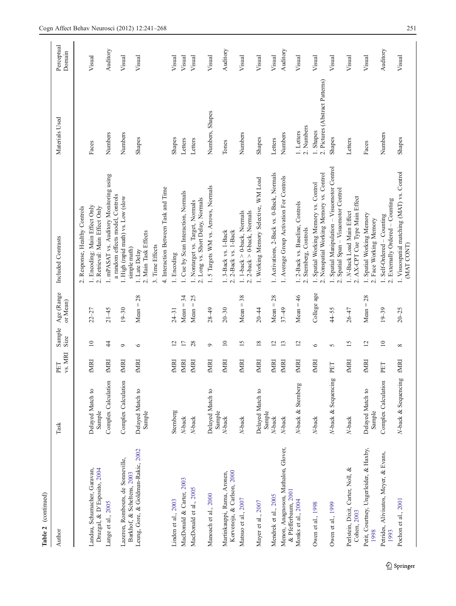| (continued)<br>Table 2                                         |                            |                |                 |                        |                                                                                                     |                                              |                      |
|----------------------------------------------------------------|----------------------------|----------------|-----------------|------------------------|-----------------------------------------------------------------------------------------------------|----------------------------------------------|----------------------|
| Author                                                         | Task                       | vs. MRI<br>PET | Sample<br>Size  | Age (Range<br>or Mean) | Included Contrasts                                                                                  | Materials Used                               | Perceptual<br>Domain |
|                                                                |                            |                |                 |                        | 2. Response, Healthy Controls                                                                       |                                              |                      |
| Druzgal, & D'Esposito, 2004<br>Landau, Schumacher, Garavan,    | Delayed Match to<br>Sample | <b>ININI</b>   | $\overline{10}$ | $22 - 27$              | 1. Encoding: Main Effect Only<br>2. Retrieval: Main Effect Only                                     | Faces                                        | Visual               |
| Lange et al., 2005                                             | Complex Calculation        | <b>EXI</b>     | $\overline{4}$  | $21 - 45$              | 1. mPASAT vs. Auditory Monitoring using                                                             | Numbers                                      | Auditory             |
| Lazeron, Rombouts, de Someville,<br>Barkhof, & Scheltens, 2003 | Complex Calculation        | <b>ININ</b>    | $\circ$         | $19 - 30$              | a random effects model, Controls<br>1. High (rapid math) vs. Low (slow<br>simple math)              | Numbers                                      | Visual               |
| Leung, Gore, & Goldman-Rakic, 2002                             | Delayed Match to<br>Sample | <b>ENINI</b>   | $\circ$         | $Mean = 28$            | 2. Main Task Effects<br>1. Late Delay                                                               | Shapes                                       | Visual               |
|                                                                |                            |                |                 |                        | 4. Interaction Between Task and Time<br>3. Time Effects                                             |                                              |                      |
| Linden et al., 2003                                            | Stemberg                   | <b>ININI</b>   | 12              | $24 - 31$              | 1. Encoding                                                                                         | Shapes                                       | Visual               |
| MacDonald & Carter, 2003                                       | N-back                     | <b>ENDI</b>    | 17              | 34<br>$Mean =$         | 1. Cue by Scan Interaction, Normals                                                                 | Letters                                      | Visual               |
| MacDonald et al., 2005                                         | N-back                     | <b>ENRI</b>    | 28              | $Mean = 25$            | 2. Long vs. Short Delay, Normals<br>1. Nontarget vs. Target, Normals                                | Letters                                      | Visual               |
| Manoach et al., 2000                                           | Delayed Match to<br>Sample | <b>ENRI</b>    | $\sigma$        | $28 - 49$              | 5 Targets WM vs. Arrows, Normals                                                                    | Numbers, Shapes                              | Visual               |
| Korvenoja, & Carlson, 2000<br>Martinkauppi, Rama, Aronen,      | N-back                     | <b>ENRI</b>    | $\overline{10}$ | $20 - 30$              | 3-Back vs. 1-Back<br>2-Back vs. 1-Back<br>$\overline{\mathcal{L}}$<br>$\overline{a}$                | Tones                                        | Auditory             |
| Matsuo et al., 2007                                            | N-back                     | <b>ENRI</b>    | 15              | $Mean = 38$            | 1. 1-back > 0-back, Normals<br>2. $2$ -back $> 0$ -back, Normals                                    | Numbers                                      | Visual               |
| Mayer et al., 2007                                             | Delayed Match to<br>Sample | <b>ENRI</b>    | $18\,$          | $20 - 44$              | 1. Working Memory Selective, WM Load                                                                | Shapes                                       | Visual               |
| Mendrek et al., 2005                                           | N-back                     | fMRI           | 12              | $Mean = 28$            | 1. Activations, 2-Back vs. 0-Back, Normals                                                          | Letters                                      | Visual               |
| Menon, Anagnoson, Mathalon, Glover,<br>& Pfefferbaum, 2001     | N-back                     | <b>ENDI</b>    | 13              | $37 - 49$              | 1. Average Group Activation For Controls                                                            | Numbers                                      | Auditory             |
| Monks et al., 2004                                             | N-back & Stemberg          | <b>ENRI</b>    | 12              | $Mean = 46$            | 1. 2-Back vs. Baseline, Controls<br>Sternberg, Controls<br>$\overline{\mathcal{N}}$                 | 2. Numbers<br>1. Letters                     | Visual               |
| Owen et al., 1998                                              | N-back                     | <b>ININ</b>    | $\circ$         | College age            | 2. Nonspatial Working Memory vs. Control<br>1. Spatial Working Memory vs. Control                   | 2. Pictures (Abstract Patterns)<br>1. Shapes | Visual               |
| Owen et al., 1999                                              | mg<br>N-back & Sequenci    | PET            | 5               | $44 - 55$              | Spatial Manipulation - Visuomotor Control<br>2. Spatial Span - Visuomotor Control<br>$\overline{a}$ | Shapes                                       | Visual               |
| Perlstein, Dixit, Carter, Noll, &<br>Cohen, 2003               | N-back                     | <b>ININI</b>   | 15              | $26 - 47$              | 2. AX-CPT Cue Type Main Effect<br>1. N-Back Load Main Effect                                        | Letters                                      | Visual               |
| Petit, Courtney, Ungerleider, & Haxby,<br>1998                 | Delayed Match to<br>Sample | <b>ENINI</b>   | $\overline{12}$ | $Mean = 28$            | 1. Spatial Working Memory<br>Face Working Memory<br>$\overline{\mathcal{L}}$                        | Faces                                        | Visual               |
| Petrides, Alivisatos, Meyer, & Evans,<br>1993                  | Complex Calculation        | PET            | $\overline{10}$ | $19 - 39$              | 2. Externally Ordered - Counting<br>Self-Ordered - Counting<br>$\vdots$                             | Numbers                                      | Auditory             |
| Pochon et al., 2001                                            | N-back & Sequencing        | <b>INNI</b>    | ${}^{\circ}$    | $20 - 25$              | 1. Visuospatial matching (MAT) vs. Control<br>(MAT CONT)                                            | Shapes                                       | Visual               |

 $\underline{\textcircled{\tiny 2}}$  Springer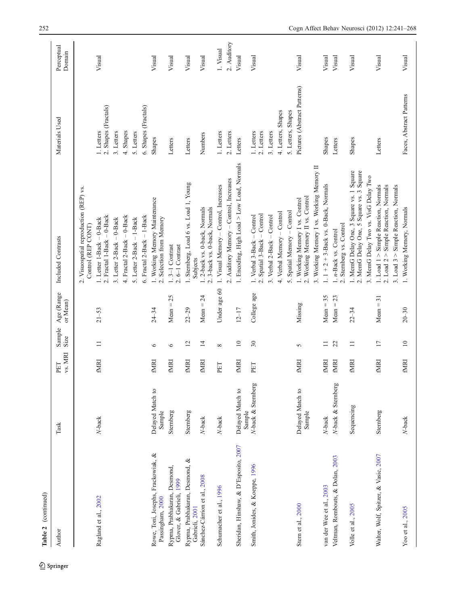| Table 2 (continued)                                      |                            |                |                 |                        |                                                                                                               |                                    |                      |
|----------------------------------------------------------|----------------------------|----------------|-----------------|------------------------|---------------------------------------------------------------------------------------------------------------|------------------------------------|----------------------|
| Author                                                   | Task                       | vs. MRI<br>PET | Sample<br>Size  | Age (Range<br>or Mean) | Included Contrasts                                                                                            | Materials Used                     | Perceptual<br>Domain |
|                                                          |                            |                |                 |                        | 2. Visuospatial reproduction (REP) vs.<br>Control (REP CONT)                                                  |                                    |                      |
| Ragland et al., 2002                                     | $N$ -back                  | <b>ININI</b>   | $\equiv$        | $21 - 53$              | Fractal 1-Back - 0-Back<br>1. Letter 1-Back - 0-Back<br>$\overline{\Omega}$                                   | 2. Shapes (Fractals)<br>1. Letters | Visual               |
|                                                          |                            |                |                 |                        | 3. Letter 2-Back - 0-Back                                                                                     | 3. Letters                         |                      |
|                                                          |                            |                |                 |                        | 4. Fractal 2-Back - 0-Back                                                                                    | 4. Shapes                          |                      |
|                                                          |                            |                |                 |                        | 5. Letter 2-Back - 1-Back                                                                                     | 5. Letters                         |                      |
|                                                          |                            |                |                 |                        | 6. Fractal 2-Back - 1-Back                                                                                    | 6. Shapes (Fractals)               |                      |
| Rowe, Toni, Josephs, Frackowiak, &<br>Passingham, 2000   | Delayed Match to<br>Sample | <b>ININI</b>   | $\circ$         | $24 - 34$              | Working Memory Maintenance<br>Selection from Memory<br>$\overline{\Omega}$                                    | Shapes                             | Visual               |
| Rypma, Prabhakaran, Desmond,<br>Glover, & Gabrieli, 1999 | Stemberg                   | <b>ININI</b>   | $\circ$         | $Mean = 25$            | 6-1 Contrast<br>3-1 Contrast<br>$\overline{\mathcal{N}}$                                                      | Letters                            | Visual               |
| Rypma, Prabhakaran, Desmond, &<br>Gabrieli, 2001         | Stemberg                   | fMRI           | 12              | $22 - 29$              | Sternberg, Load 6 vs. Load 1, Young<br>Subjects                                                               | Letters                            | Visual               |
| Sánchez-Cárrion et al., 2008                             | $N$ -back                  | <b>ININI</b>   | $\overline{1}$  | $Mean = 24$            | 3-back vs. 0-back, Normals<br>2-back vs. 0-back, Normals<br>$\overline{\mathcal{C}}$                          | Numbers                            | Visual               |
| Schumacher et al., 1996                                  | $N$ -back                  | PET            | $^{\circ}$      | Under age 60           | 1. Visual Memory - Control, Increases                                                                         | 1. Letters                         | 1. Visual            |
|                                                          |                            |                |                 |                        | 2. Auditory Memory - Control, Increases                                                                       | 2. Letters                         | 2. Auditory          |
| Sheridan, Hinshaw, & D'Esposito, 2007                    | Delayed Match to<br>Sample | <b>ININI</b>   | $\overline{10}$ | $12 - 17$              | 1. Encoding, High Load > Low Load, Normals                                                                    | Letters                            | Visual               |
| Smith, Jonides, & Koeppe, 1996                           | N-back & Stemberg          | PET            | 30              | College age            | Spatial 3-Back - Control<br>Verbal 3-Back - Control<br>$\overline{a}$<br>$\overline{\mathcal{N}}$             | 1. Letters<br>2. Letters           | Visual               |
|                                                          |                            |                |                 |                        | Verbal 2-Back - Control<br>$\ddot{\mathcal{S}}$                                                               | 3. Letters                         |                      |
|                                                          |                            |                |                 |                        | Verbal Memory - Control<br>4.                                                                                 | 4. Letters, Shapes                 |                      |
|                                                          |                            |                |                 |                        | Spatial Memory - Control<br>S.                                                                                | 5. Letters, Shapes                 |                      |
| Stern et al., 2000                                       | Delayed Match to<br>Sample | mri            | 5               | Missing                | Working Memory II vs. Control<br>Working Memory I vs. Control<br>$\overline{\mathcal{L}}$<br>$\overline{a}$   | Pictures (Abstract Patterns)       | Visual               |
|                                                          |                            |                |                 |                        | Working Memory I vs. Working Memory II<br>$\frac{1}{3}$                                                       |                                    |                      |
| van der Wee et al., 2003                                 | $N$ -back                  | <b>EXIMP</b>   | $\equiv$        | $Mean = 35$            | $1.1 + 2 + 3$ -Back vs. 0-Back, Normals                                                                       | Shapes                             | Visual               |
| Veltman, Rombouts, & Dolan, 2003                         | N-back & Stemberg          | <b>ININ</b>    | 22              | 23<br>$Mean =$         | Sternberg vs. Control<br>n-Back vs. Control<br>$\div$<br>$\overline{\mathcal{N}}$                             | Letters                            | Visual               |
| Volle et al., 2005                                       | Sequencing                 | <b>ININI</b>   | $\Box$          | $22 - 34$              | 1. MemG Delay One, 3 Square vs. 1 Square<br>MemG Delay One, 5 Square vs. 3 Square<br>$\overline{\mathcal{N}}$ | Shapes                             | Visual               |
|                                                          |                            |                |                 |                        | 3. MemG Delay Two vs. VisG Delay Two                                                                          |                                    |                      |
| Walter, Wolf, Spitzer, & Vasic, 2007                     | Stemberg                   | mri            | $\overline{17}$ | $Mean = 31$            | 2. Load $2 >$ Simple Reaction, Normals<br>1. Load 1 > Simple Reaction, Normals                                | Letters                            | Visual               |
|                                                          |                            |                |                 |                        | 3. Load 3 > Simple Reaction, Normals                                                                          |                                    |                      |
| Yoo et al., 2005                                         | N-back                     | <b>ENRI</b>    | $\overline{10}$ | $20 - 30$              | 1. Working Memory, Normals                                                                                    | Faces, Abstract Patterns           | Visual               |

 $\underline{\textcircled{\tiny 2}}$  Springer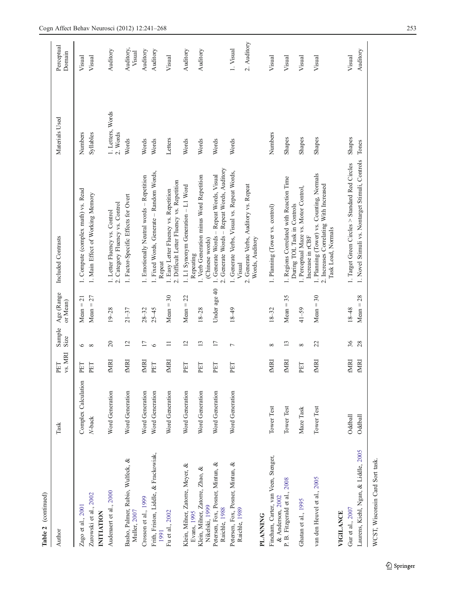| Table 2 (continued)                                             |                               |                |                     |                                            |                                                                                                            |                               |                      |
|-----------------------------------------------------------------|-------------------------------|----------------|---------------------|--------------------------------------------|------------------------------------------------------------------------------------------------------------|-------------------------------|----------------------|
| Author                                                          | Task                          | vs. MRI<br>PET | Sample<br>Size      | Age (Range<br>or Mean)                     | Included Contrasts                                                                                         | Materials Used                | Perceptual<br>Domain |
| Zurowski et al., 2002<br>Zago et al., 2001<br><b>INITIATION</b> | Complex Calculation<br>N-back | PET<br>PET     | $\circ$<br>$\infty$ | $Mean = 27$<br>$\overline{21}$<br>$Mean =$ | 1. Compute (complex math) vs. Read<br>1. Main Effect of Working Memory                                     | Numbers<br>Syllables          | Visual<br>Visual     |
| Audenaert et al., 2000                                          | Word Generation               | <b>EMRI</b>    | $\overline{c}$      | $19 - 28$                                  | 2. Category Fluency vs. Control<br>1. Letter Fluency vs. Control                                           | 1. Letters, Words<br>2. Words | Auditory             |
| Basho, Palmer, Rubio, Wulfeck, &<br>Muller, 2007                | Word Generation               | <b>ININI</b>   | 12                  | $21 - 37$                                  | 1. Factor-Specific Effects for Overt                                                                       | Words                         | Auditory,<br>Visual  |
| Crosson et al., 1999                                            | Word Generation               | <b>ENINI</b>   | 17                  | $28 - 32$                                  | 1. Emotionally Neutral words - Repetition                                                                  | Words                         | Auditory             |
| Frith, Friston, Liddle, & Frackowiak,<br>1991                   | Word Generation               | PET            | $\circ$             | $25 - 45$                                  | 1. Fixed Words, Generate - Random Words,<br>Repeat                                                         | Words                         | Auditory             |
| Fu et al., 2002                                                 | Word Generation               | <b>ENIME</b>   | $\Box$              | $30\,$<br>$Mean =$                         | 2. Difficult Letter Fluency vs. Repetition<br>1. Easy Letter Fluency vs. Repetition                        | Letters                       | Visual               |
| Klein, Milner, Zatorre, Meyer, &<br>Evans, 1995                 | Word Generation               | PET            | 12                  | $Mean = 22$                                | 1. L1 Synonym Generation - L1 Word<br>Repeating                                                            | Words                         | Auditory             |
| Klein, Milner, Zatorre, Zhao, &<br>Nikelski, 1999               | Word Generation               | PET            | 13                  | $18 - 28$                                  | 1. Verb Generation minus Word Repetition<br>(Chinese words)                                                | Words                         | Auditory             |
| Petersen, Fox, Posner, Mintun, &<br>Raichle, 1988               | Word Generation               | PET            | $\overline{17}$     | Under age 40                               | 2. Generate Words - Repeat Words, Auditory<br>1. Generate Words - Repeat Words, Visual                     | Words                         |                      |
| Petersen, Fox, Posner, Mintun, &<br>Raichle, 1989               | Word Generation               | PET            | $\overline{ }$      | $18 - 49$                                  | 1. Generate Verbs, Visual vs. Repeat Words,<br>Visual                                                      | Words                         | 1. Visual            |
|                                                                 |                               |                |                     |                                            | 2. Generate Verbs, Auditory vs. Repeat<br>Words, Auditory                                                  |                               | 2. Auditory          |
| <b>PLANNING</b>                                                 |                               |                |                     |                                            |                                                                                                            |                               |                      |
| Fincham, Carter, van Veen, Stenger,<br>& Anderson, 2002         | Tower Test                    | <b>ENRI</b>    | ${}^{\circ}$        | $18 - 32$                                  | 1. Planning (Tower vs. control)                                                                            | Numbers                       | Visual               |
| P. B. Fitzgerald et al., 2008                                   | <b>Tower Test</b>             | <b>ENDED</b>   | 13                  | $Mean = 35$                                | 1. Regions Correlated with Reaction Time<br>During TOL Task in Controls                                    | Shapes                        | Visual               |
| Ghatan et al., 1995                                             | Maze Task                     | PET            | $\infty$            | $41 - 59$                                  | 1. Perceptual Maze vs. Motor Control,<br>Increase in rCBF                                                  | Shapes                        | Visual               |
| van den Heuvel et al., 2005                                     | Tower Test                    | fmri           | 22                  | $Mean = 30$                                | 1. Planning (Tower) vs. Counting, Normals<br>2. Increases Correlating With Increased<br>Task Load, Normals | Shapes                        | Visual               |
| <b>VIGILANCE</b>                                                |                               |                |                     |                                            |                                                                                                            |                               |                      |
| Gur et al., 2007                                                | Oddball                       | <b>ENRI</b>    | 36                  | $18 - 48$                                  | 1. Target Green Circles > Standard Red Circles                                                             | Shapes                        | Visual               |
| Laurens, Kiehl, Ngan, & Liddle, 2005                            | Oddball                       | <b>EXIME</b>   | 28                  | $Mean = 28$                                | 1. Novel Stimuli vs. Nontarget Stimuli, Controls                                                           | Tones                         | Auditory             |
|                                                                 |                               |                |                     |                                            |                                                                                                            |                               |                      |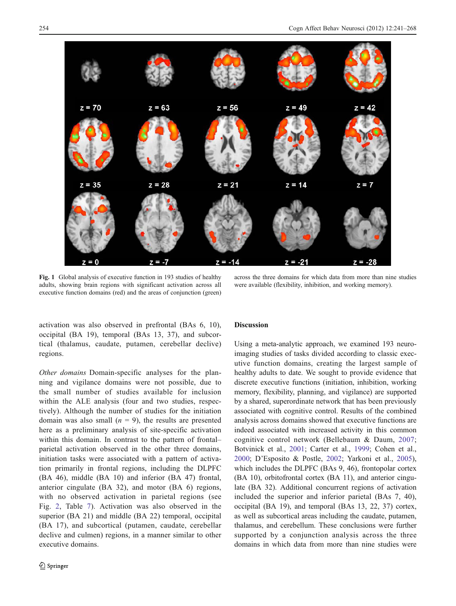<span id="page-13-0"></span>

Fig. 1 Global analysis of executive function in 193 studies of healthy adults, showing brain regions with significant activation across all executive function domains (red) and the areas of conjunction (green)

across the three domains for which data from more than nine studies were available (flexibility, inhibition, and working memory).

activation was also observed in prefrontal (BAs 6, 10), occipital (BA 19), temporal (BAs 13, 37), and subcortical (thalamus, caudate, putamen, cerebellar declive) regions.

Other domains Domain-specific analyses for the planning and vigilance domains were not possible, due to the small number of studies available for inclusion within the ALE analysis (four and two studies, respectively). Although the number of studies for the initiation domain was also small  $(n = 9)$ , the results are presented here as a preliminary analysis of site-specific activation within this domain. In contrast to the pattern of frontal– parietal activation observed in the other three domains, initiation tasks were associated with a pattern of activation primarily in frontal regions, including the DLPFC (BA 46), middle (BA 10) and inferior (BA 47) frontal, anterior cingulate (BA 32), and motor (BA 6) regions, with no observed activation in parietal regions (see Fig. [2,](#page-15-0) Table [7\)](#page-19-0). Activation was also observed in the superior (BA 21) and middle (BA 22) temporal, occipital (BA 17), and subcortical (putamen, caudate, cerebellar declive and culmen) regions, in a manner similar to other executive domains.

#### Discussion

Using a meta-analytic approach, we examined 193 neuroimaging studies of tasks divided according to classic executive function domains, creating the largest sample of healthy adults to date. We sought to provide evidence that discrete executive functions (initiation, inhibition, working memory, flexibility, planning, and vigilance) are supported by a shared, superordinate network that has been previously associated with cognitive control. Results of the combined analysis across domains showed that executive functions are indeed associated with increased activity in this common cognitive control network (Bellebaum & Daum, [2007;](#page-20-0) Botvinick et al., [2001](#page-20-0); Carter et al., [1999;](#page-21-0) Cohen et al., [2000](#page-21-0); D'Esposito & Postle, [2002;](#page-21-0) Yarkoni et al., [2005](#page-27-0)), which includes the DLPFC (BAs 9, 46), frontopolar cortex (BA 10), orbitofrontal cortex (BA 11), and anterior cingulate (BA 32). Additional concurrent regions of activation included the superior and inferior parietal (BAs 7, 40), occipital (BA 19), and temporal (BAs 13, 22, 37) cortex, as well as subcortical areas including the caudate, putamen, thalamus, and cerebellum. These conclusions were further supported by a conjunction analysis across the three domains in which data from more than nine studies were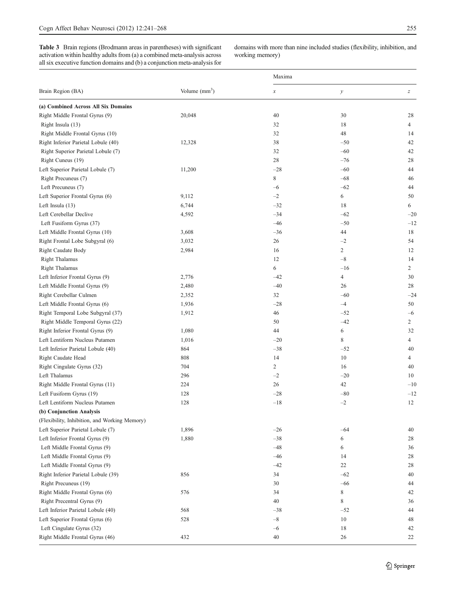<span id="page-14-0"></span>Table 3 Brain regions (Brodmann areas in parentheses) with significant activation within healthy adults from (a) a combined meta-analysis across all six executive function domains and (b) a conjunction meta-analysis for domains with more than nine included studies (flexibility, inhibition, and working memory)

|                                               |                        | Maxima           |                |                  |
|-----------------------------------------------|------------------------|------------------|----------------|------------------|
| Brain Region (BA)                             | Volume $\text{(mm}^3)$ | $\boldsymbol{x}$ | у              | $\boldsymbol{z}$ |
| (a) Combined Across All Six Domains           |                        |                  |                |                  |
| Right Middle Frontal Gyrus (9)                | 20,048                 | 40               | 30             | 28               |
| Right Insula (13)                             |                        | 32               | 18             | $\overline{4}$   |
| Right Middle Frontal Gyrus (10)               |                        | 32               | 48             | 14               |
| Right Inferior Parietal Lobule (40)           | 12,328                 | 38               | $-50$          | 42               |
| Right Superior Parietal Lobule (7)            |                        | 32               | $-60$          | 42               |
| Right Cuneus (19)                             |                        | 28               | $-76$          | 28               |
| Left Superior Parietal Lobule (7)             | 11,200                 | $-28$            | $-60$          | 44               |
| Right Precuneus (7)                           |                        | 8                | $-68$          | 46               |
| Left Precuneus (7)                            |                        | $-6$             | $-62$          | 44               |
| Left Superior Frontal Gyrus (6)               | 9,112                  | $-2$             | 6              | 50               |
| Left Insula (13)                              | 6,744                  | $-32$            | 18             | 6                |
| Left Cerebellar Declive                       | 4,592                  | $-34$            | $-62$          | $-20$            |
| Left Fusiform Gyrus (37)                      |                        | $-46$            | $-50$          | $-12$            |
| Left Middle Frontal Gyrus (10)                | 3,608                  | $-36$            | 44             | 18               |
| Right Frontal Lobe Subgyral (6)               | 3,032                  | 26               | $-2$           | 54               |
| Right Caudate Body                            | 2,984                  | 16               | 2              | 12               |
| <b>Right Thalamus</b>                         |                        | 12               | $-8$           | 14               |
| <b>Right Thalamus</b>                         |                        | 6                | $-16$          | 2                |
| Left Inferior Frontal Gyrus (9)               | 2,776                  | $-42$            | $\overline{4}$ | 30               |
| Left Middle Frontal Gyrus (9)                 | 2,480                  | $-40$            | 26             | 28               |
| Right Cerebellar Culmen                       | 2,352                  | 32               | $-60$          | $-24$            |
| Left Middle Frontal Gyrus (6)                 | 1,936                  | $-28$            | $-4$           | 50               |
| Right Temporal Lobe Subgyral (37)             | 1,912                  | 46               | $-52$          | $-6$             |
| Right Middle Temporal Gyrus (22)              |                        | 50               | $-42$          | 2                |
| Right Inferior Frontal Gyrus (9)              | 1,080                  | 44               | 6              | 32               |
| Left Lentiform Nucleus Putamen                | 1,016                  | $-20$            | 8              | $\overline{4}$   |
| Left Inferior Parietal Lobule (40)            | 864                    | $-38$            | $-52$          | 40               |
| Right Caudate Head                            | 808                    | 14               | 10             | $\overline{4}$   |
| Right Cingulate Gyrus (32)                    | 704                    | $\overline{c}$   | 16             | 40               |
| Left Thalamus                                 | 296                    | $-2$             | $-20$          | 10               |
| Right Middle Frontal Gyrus (11)               | 224                    | 26               | 42             | $-10$            |
| Left Fusiform Gyrus (19)                      | 128                    | $-28$            | $-80$          | $-12$            |
| Left Lentiform Nucleus Putamen                | 128                    | $-18$            | $-2$           | 12               |
| (b) Conjunction Analysis                      |                        |                  |                |                  |
| (Flexibility, Inhibition, and Working Memory) |                        |                  |                |                  |
| Left Superior Parietal Lobule (7)             | 1,896                  | $-26$            | $-64$          | 40               |
| Left Inferior Frontal Gyrus (9)               | 1,880                  | $-38$            | 6              | 28               |
| Left Middle Frontal Gyrus (9)                 |                        | $-48$            | 6              | 36               |
| Left Middle Frontal Gyrus (9)                 |                        | $-46$            | 14             | 28               |
| Left Middle Frontal Gyrus (9)                 |                        | $-42$            | $22\,$         | 28               |
| Right Inferior Parietal Lobule (39)           | 856                    | 34               | $-62$          | 40               |
| Right Precuneus (19)                          |                        | 30               | $-66$          | 44               |
| Right Middle Frontal Gyrus (6)                | 576                    | 34               | 8              | 42               |
| Right Precentral Gyrus (9)                    |                        | 40               | $\,$ 8 $\,$    | 36               |
| Left Inferior Parietal Lobule (40)            | 568                    | $-38$            | $-52$          | 44               |
| Left Superior Frontal Gyrus (6)               | 528                    | $-8\,$           | 10             | 48               |
| Left Cingulate Gyrus (32)                     |                        | $-6$             | 18             | 42               |
| Right Middle Frontal Gyrus (46)               | 432                    | 40               | $26\,$         | 22               |
|                                               |                        |                  |                |                  |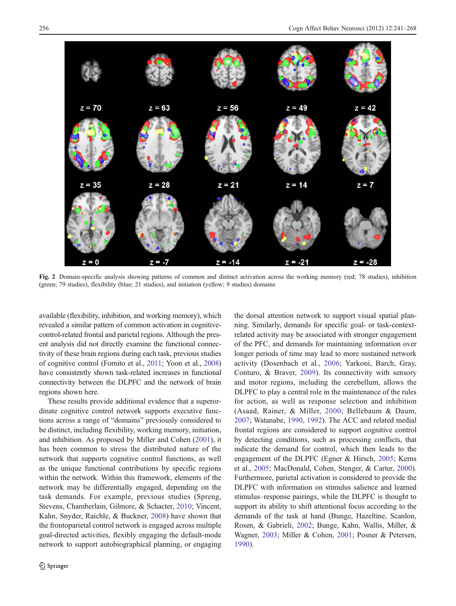<span id="page-15-0"></span>

Fig. 2 Domain-specific analysis showing patterns of common and distinct activation across the working memory (red; 78 studies), inhibition (green; 79 studies), flexibility (blue; 21 studies), and initiation (yellow; 9 studies) domains

available (flexibility, inhibition, and working memory), which revealed a similar pattern of common activation in cognitivecontrol-related frontal and parietal regions. Although the present analysis did not directly examine the functional connectivity of these brain regions during each task, previous studies of cognitive control (Fornito et al., [2011](#page-22-0); Yoon et al., [2008\)](#page-27-0) have consistently shown task-related increases in functional connectivity between the DLPFC and the network of brain regions shown here.

These results provide additional evidence that a superordinate cognitive control network supports executive functions across a range of "domains" previously considered to be distinct, including flexibility, working memory, initiation, and inhibition. As proposed by Miller and Cohen [\(2001](#page-25-0)), it has been common to stress the distributed nature of the network that supports cognitive control functions, as well as the unique functional contributions by specific regions within the network. Within this framework, elements of the network may be differentially engaged, depending on the task demands. For example, previous studies (Spreng, Stevens, Chamberlain, Gilmore, & Schacter, [2010](#page-26-0); Vincent, Kahn, Snyder, Raichle, & Buckner, [2008](#page-27-0)) have shown that the frontoparietal control network is engaged across multiple goal-directed activities, flexibly engaging the default-mode network to support autobiographical planning, or engaging the dorsal attention network to support visual spatial planning. Similarly, demands for specific goal- or task-contextrelated activity may be associated with stronger engagement of the PFC, and demands for maintaining information over longer periods of time may lead to more sustained network activity (Dosenbach et al., [2006;](#page-22-0) Yarkoni, Barch, Gray, Conturo, & Braver, [2009](#page-27-0)). Its connectivity with sensory and motor regions, including the cerebellum, allows the DLPFC to play a central role in the maintenance of the rules for action, as well as response selection and inhibition (Asaad, Rainer, & Miller, [2000;](#page-20-0) Bellebaum & Daum, [2007](#page-20-0); Watanabe, [1990,](#page-27-0) [1992\)](#page-27-0). The ACC and related medial frontal regions are considered to support cognitive control by detecting conditions, such as processing conflicts, that indicate the demand for control, which then leads to the engagement of the DLPFC (Egner & Hirsch, [2005](#page-22-0); Kerns et al., [2005;](#page-23-0) MacDonald, Cohen, Stenger, & Carter, [2000\)](#page-24-0). Furthermore, parietal activation is considered to provide the DLPFC with information on stimulus salience and learned stimulus–response pairings, while the DLPFC is thought to support its ability to shift attentional focus according to the demands of the task at hand (Bunge, Hazeltine, Scanlon, Rosen, & Gabrieli, [2002;](#page-21-0) Bunge, Kahn, Wallis, Miller, & Wagner, [2003](#page-21-0); Miller & Cohen, [2001](#page-25-0); Posner & Petersen, [1990](#page-26-0)).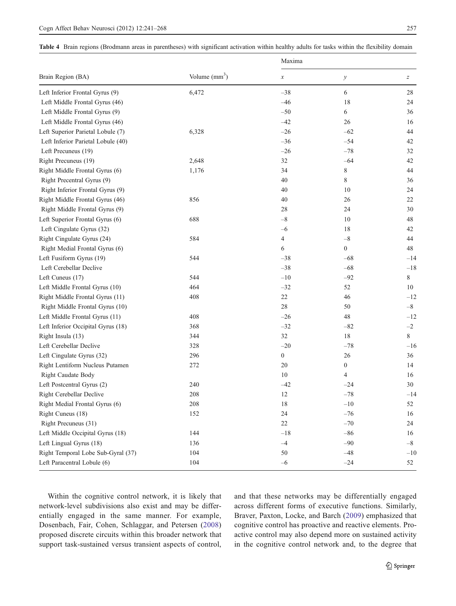#### <span id="page-16-0"></span>Table 4 Brain regions (Brodmann areas in parentheses) with significant activation within healthy adults for tasks within the flexibility domain

|                                    |                        | Maxima              |                  |                  |
|------------------------------------|------------------------|---------------------|------------------|------------------|
| Brain Region (BA)                  | Volume $\text{(mm}^3)$ | $\boldsymbol{\chi}$ | $\mathcal Y$     | $\boldsymbol{z}$ |
| Left Inferior Frontal Gyrus (9)    | 6,472                  | $-38$               | 6                | 28               |
| Left Middle Frontal Gyrus (46)     |                        | $-46$               | 18               | 24               |
| Left Middle Frontal Gyrus (9)      |                        | $-50$               | 6                | 36               |
| Left Middle Frontal Gyrus (46)     |                        | $-42$               | 26               | 16               |
| Left Superior Parietal Lobule (7)  | 6,328                  | $-26$               | $-62$            | 44               |
| Left Inferior Parietal Lobule (40) |                        | $-36$               | $-54$            | 42               |
| Left Precuneus (19)                |                        | $-26$               | $-78$            | 32               |
| Right Precuneus (19)               | 2,648                  | 32                  | $-64$            | 42               |
| Right Middle Frontal Gyrus (6)     | 1,176                  | 34                  | 8                | 44               |
| Right Precentral Gyrus (9)         |                        | 40                  | 8                | 36               |
| Right Inferior Frontal Gyrus (9)   |                        | 40                  | 10               | 24               |
| Right Middle Frontal Gyrus (46)    | 856                    | 40                  | 26               | 22               |
| Right Middle Frontal Gyrus (9)     |                        | 28                  | 24               | 30               |
| Left Superior Frontal Gyrus (6)    | 688                    | $-8$                | 10               | 48               |
| Left Cingulate Gyrus (32)          |                        | $-6$                | 18               | 42               |
| Right Cingulate Gyrus (24)         | 584                    | 4                   | $-8$             | 44               |
| Right Medial Frontal Gyrus (6)     |                        | 6                   | $\mathbf{0}$     | 48               |
| Left Fusiform Gyrus (19)           | 544                    | $-38$               | $-68$            | $-14$            |
| Left Cerebellar Declive            |                        | $-38$               | $-68$            | $-18$            |
| Left Cuneus (17)                   | 544                    | $-10$               | $-92$            | $8\,$            |
| Left Middle Frontal Gyrus (10)     | 464                    | $-32$               | 52               | 10               |
| Right Middle Frontal Gyrus (11)    | 408                    | 22                  | 46               | $-12$            |
| Right Middle Frontal Gyrus (10)    |                        | 28                  | 50               | $-8$             |
| Left Middle Frontal Gyrus (11)     | 408                    | $-26$               | 48               | $-12$            |
| Left Inferior Occipital Gyrus (18) | 368                    | $-32$               | $-82$            | $-2$             |
| Right Insula (13)                  | 344                    | 32                  | 18               | $8\,$            |
| Left Cerebellar Declive            | 328                    | $-20$               | $-78$            | $-16$            |
| Left Cingulate Gyrus (32)          | 296                    | $\boldsymbol{0}$    | 26               | 36               |
| Right Lentiform Nucleus Putamen    | 272                    | 20                  | $\boldsymbol{0}$ | 14               |
| Right Caudate Body                 |                        | 10                  | 4                | 16               |
| Left Postcentral Gyrus (2)         | 240                    | $-42$               | $-24$            | 30               |
| Right Cerebellar Declive           | 208                    | 12                  | $-78$            | $-14$            |
| Right Medial Frontal Gyrus (6)     | $208\,$                | $18\,$              | $-10\,$          | 52               |
| Right Cuneus (18)                  | 152                    | 24                  | $-76$            | 16               |
| Right Precuneus (31)               |                        | $22\,$              | $-70$            | 24               |
| Left Middle Occipital Gyrus (18)   | 144                    | $-18$               | $-86$            | 16               |
| Left Lingual Gyrus (18)            | 136                    | $-4$                | $-90$            | $-8$             |
| Right Temporal Lobe Sub-Gyral (37) | 104                    | 50                  | $-48$            | $-10$            |
| Left Paracentral Lobule (6)        | 104                    | $-6$                | $-24$            | 52               |

Within the cognitive control network, it is likely that network-level subdivisions also exist and may be differentially engaged in the same manner. For example, Dosenbach, Fair, Cohen, Schlaggar, and Petersen ([2008\)](#page-22-0) proposed discrete circuits within this broader network that support task-sustained versus transient aspects of control, and that these networks may be differentially engaged across different forms of executive functions. Similarly, Braver, Paxton, Locke, and Barch ([2009](#page-20-0)) emphasized that cognitive control has proactive and reactive elements. Proactive control may also depend more on sustained activity in the cognitive control network and, to the degree that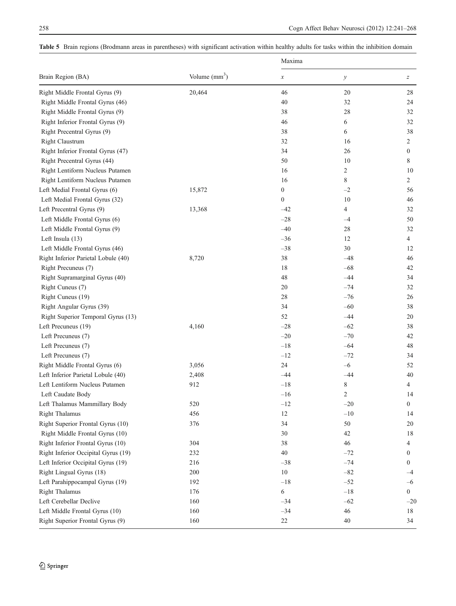## <span id="page-17-0"></span>Table 5 Brain regions (Brodmann areas in parentheses) with significant activation within healthy adults for tasks within the inhibition domain

| Brain Region (BA)                   | Volume $\text{(mm}^3)$ | Maxima              |              |                  |
|-------------------------------------|------------------------|---------------------|--------------|------------------|
|                                     |                        | $\boldsymbol{\chi}$ | $\mathcal Y$ | $\boldsymbol{z}$ |
| Right Middle Frontal Gyrus (9)      | 20,464                 | 46                  | 20           | 28               |
| Right Middle Frontal Gyrus (46)     |                        | 40                  | 32           | 24               |
| Right Middle Frontal Gyrus (9)      |                        | 38                  | 28           | 32               |
| Right Inferior Frontal Gyrus (9)    |                        | 46                  | 6            | 32               |
| Right Precentral Gyrus (9)          |                        | 38                  | 6            | 38               |
| Right Claustrum                     |                        | 32                  | 16           | $\overline{2}$   |
| Right Inferior Frontal Gyrus (47)   |                        | 34                  | 26           | $\boldsymbol{0}$ |
| Right Precentral Gyrus (44)         |                        | 50                  | 10           | 8                |
| Right Lentiform Nucleus Putamen     |                        | 16                  | 2            | 10               |
| Right Lentiform Nucleus Putamen     |                        | 16                  | 8            | $\overline{c}$   |
| Left Medial Frontal Gyrus (6)       | 15,872                 | $\boldsymbol{0}$    | $-2$         | 56               |
| Left Medial Frontal Gyrus (32)      |                        | $\boldsymbol{0}$    | 10           | 46               |
| Left Precentral Gyrus (9)           | 13,368                 | $-42$               | 4            | 32               |
| Left Middle Frontal Gyrus (6)       |                        | $-28$               | $-4$         | 50               |
| Left Middle Frontal Gyrus (9)       |                        | $-40$               | 28           | 32               |
| Left Insula (13)                    |                        | $-36$               | 12           | $\overline{4}$   |
| Left Middle Frontal Gyrus (46)      |                        | $-38$               | 30           | 12               |
| Right Inferior Parietal Lobule (40) | 8,720                  | 38                  | $-48$        | 46               |
| Right Precuneus (7)                 |                        | 18                  | $-68$        | 42               |
| Right Supramarginal Gyrus (40)      |                        | 48                  | $-44$        | 34               |
| Right Cuneus (7)                    |                        | 20                  | $-74$        | 32               |
| Right Cuneus (19)                   |                        | 28                  | $-76$        | 26               |
| Right Angular Gyrus (39)            |                        | 34                  | $-60$        | 38               |
| Right Superior Temporal Gyrus (13)  |                        | 52                  | $-44$        | $20\,$           |
| Left Precuneus (19)                 | 4,160                  | $-28$               | $-62$        | 38               |
| Left Precuneus (7)                  |                        | $-20$               | $-70$        | 42               |
| Left Precuneus (7)                  |                        | $-18$               | $-64$        | 48               |
| Left Precuneus (7)                  |                        | $-12$               | $-72$        | 34               |
| Right Middle Frontal Gyrus (6)      | 3,056                  | 24                  | $-6$         | 52               |
| Left Inferior Parietal Lobule (40)  | 2,408                  | $-44$               | $-44$        | 40               |
| Left Lentiform Nucleus Putamen      | 912                    | $-18$               | 8            | 4                |
| Left Caudate Body                   |                        | $-16$               | 2            | 14               |
| Left Thalamus Mammillary Body       | 520                    | $-12$               | $-20$        | $\mathbf{0}$     |
| <b>Right Thalamus</b>               | 456                    | 12                  | $-10$        | 14               |
| Right Superior Frontal Gyrus (10)   | 376                    | 34                  | 50           | 20               |
| Right Middle Frontal Gyrus (10)     |                        | 30                  | 42           | 18               |
| Right Inferior Frontal Gyrus (10)   | 304                    | 38                  | 46           | $\overline{4}$   |
| Right Inferior Occipital Gyrus (19) | 232                    | 40                  | $-72$        | $\mathbf{0}$     |
| Left Inferior Occipital Gyrus (19)  | 216                    | $-38$               | $-74$        | $\mathbf{0}$     |
| Right Lingual Gyrus (18)            | 200                    | 10                  | $-82$        | -4               |
| Left Parahippocampal Gyrus (19)     | 192                    | $-18$               | $-52$        | $-6$             |
| <b>Right Thalamus</b>               | 176                    | 6                   | $-18$        | $\overline{0}$   |
| Left Cerebellar Declive             | 160                    | $-34$               | $-62$        | $-20$            |
| Left Middle Frontal Gyrus (10)      | 160                    | $-34$               | 46           | 18               |
| Right Superior Frontal Gyrus (9)    | 160                    | 22                  | 40           | 34               |
|                                     |                        |                     |              |                  |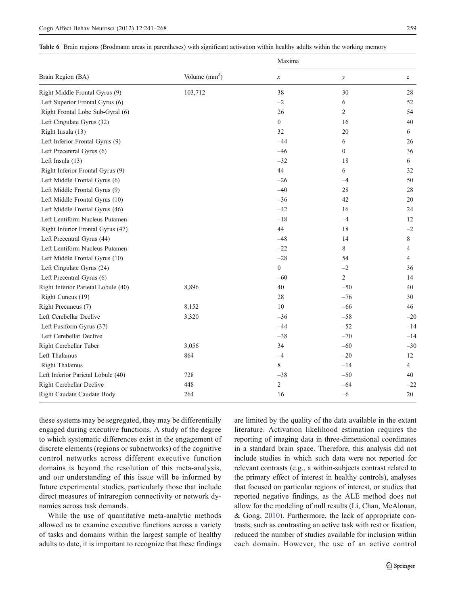#### <span id="page-18-0"></span>Table 6 Brain regions (Brodmann areas in parentheses) with significant activation within healthy adults within the working memory

| Brain Region (BA)                   | Volume $\text{(mm}^3)$ | Maxima           |                |                  |
|-------------------------------------|------------------------|------------------|----------------|------------------|
|                                     |                        | $\boldsymbol{x}$ | $\mathcal{Y}$  | $\boldsymbol{Z}$ |
| Right Middle Frontal Gyrus (9)      | 103,712                | 38               | 30             | 28               |
| Left Superior Frontal Gyrus (6)     |                        | $-2$             | 6              | 52               |
| Right Frontal Lobe Sub-Gyral (6)    |                        | 26               | $\overline{2}$ | 54               |
| Left Cingulate Gyrus (32)           |                        | $\overline{0}$   | 16             | 40               |
| Right Insula (13)                   |                        | 32               | 20             | 6                |
| Left Inferior Frontal Gyrus (9)     |                        | $-44$            | 6              | 26               |
| Left Precentral Gyrus (6)           |                        | $-46$            | $\mathbf{0}$   | 36               |
| Left Insula (13)                    |                        | $-32$            | 18             | $\sqrt{6}$       |
| Right Inferior Frontal Gyrus (9)    |                        | 44               | 6              | 32               |
| Left Middle Frontal Gyrus (6)       |                        | $-26$            | $-4$           | 50               |
| Left Middle Frontal Gyrus (9)       |                        | $-40$            | 28             | 28               |
| Left Middle Frontal Gyrus (10)      |                        | $-36$            | 42             | 20               |
| Left Middle Frontal Gyrus (46)      |                        | $-42$            | 16             | 24               |
| Left Lentiform Nucleus Putamen      |                        | $-18$            | $-4$           | 12               |
| Right Inferior Frontal Gyrus (47)   |                        | 44               | 18             | $-2$             |
| Left Precentral Gyrus (44)          |                        | $-48$            | 14             | $8\,$            |
| Left Lentiform Nucleus Putamen      |                        | $-22$            | 8              | $\overline{4}$   |
| Left Middle Frontal Gyrus (10)      |                        | $-28$            | 54             | $\overline{4}$   |
| Left Cingulate Gyrus (24)           |                        | $\overline{0}$   | $-2$           | 36               |
| Left Precentral Gyrus (6)           |                        | $-60$            | $\overline{2}$ | 14               |
| Right Inferior Parietal Lobule (40) | 8,896                  | 40               | $-50$          | 40               |
| Right Cuneus (19)                   |                        | 28               | $-76$          | 30               |
| Right Precuneus (7)                 | 8,152                  | 10               | $-66$          | 46               |
| Left Cerebellar Declive             | 3,320                  | $-36$            | $-58$          | $-20$            |
| Left Fusiform Gyrus (37)            |                        | $-44$            | $-52$          | $-14$            |
| Left Cerebellar Declive             |                        | $-38$            | $-70$          | $-14$            |
| Right Cerebellar Tuber              | 3,056                  | 34               | $-60$          | $-30$            |
| Left Thalamus                       | 864                    | $-4$             | $-20$          | 12               |
| Right Thalamus                      |                        | 8                | $-14$          | $\overline{4}$   |
| Left Inferior Parietal Lobule (40)  | 728                    | $-38$            | $-50$          | 40               |
| Right Cerebellar Declive            | 448                    | $\overline{c}$   | $-64$          | $-22$            |
| Right Caudate Caudate Body          | 264                    | 16               | $-6$           | 20               |

these systems may be segregated, they may be differentially engaged during executive functions. A study of the degree to which systematic differences exist in the engagement of discrete elements (regions or subnetworks) of the cognitive control networks across different executive function domains is beyond the resolution of this meta-analysis, and our understanding of this issue will be informed by future experimental studies, particularly those that include direct measures of intraregion connectivity or network dynamics across task demands.

While the use of quantitative meta-analytic methods allowed us to examine executive functions across a variety of tasks and domains within the largest sample of healthy adults to date, it is important to recognize that these findings are limited by the quality of the data available in the extant literature. Activation likelihood estimation requires the reporting of imaging data in three-dimensional coordinates in a standard brain space. Therefore, this analysis did not include studies in which such data were not reported for relevant contrasts (e.g., a within-subjects contrast related to the primary effect of interest in healthy controls), analyses that focused on particular regions of interest, or studies that reported negative findings, as the ALE method does not allow for the modeling of null results (Li, Chan, McAlonan, & Gong, [2010\)](#page-24-0). Furthermore, the lack of appropriate contrasts, such as contrasting an active task with rest or fixation, reduced the number of studies available for inclusion within each domain. However, the use of an active control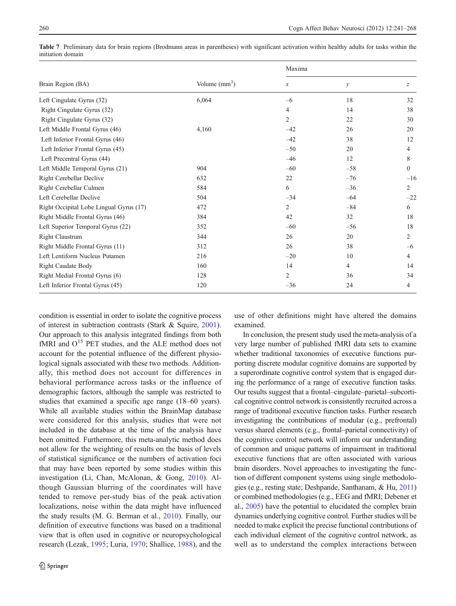| Brain Region (BA)                       | Volume $\text{(mm}^3)$ | Maxima           |       |                |
|-----------------------------------------|------------------------|------------------|-------|----------------|
|                                         |                        | $\boldsymbol{x}$ | у     | z              |
| Left Cingulate Gyrus (32)               | 6,064                  | $-6$             | 18    | 32             |
| Right Cingulate Gyrus (32)              |                        | 4                | 14    | 38             |
| Right Cingulate Gyrus (32)              |                        | $\overline{2}$   | 22    | 30             |
| Left Middle Frontal Gyrus (46)          | 4,160                  | $-42$            | 26    | 20             |
| Left Inferior Frontal Gyrus (46)        |                        | $-42$            | 38    | 12             |
| Left Inferior Frontal Gyrus (45)        |                        | $-50$            | 20    | $\overline{4}$ |
| Left Precentral Gyrus (44)              |                        | $-46$            | 12    | 8              |
| Left Middle Temporal Gyrus (21)         | 904                    | $-60$            | $-58$ | $\overline{0}$ |
| Right Cerebellar Declive                | 632                    | 22               | $-76$ | $-16$          |
| Right Cerebellar Culmen                 | 584                    | 6                | $-36$ | 2              |
| Left Cerebellar Declive                 | 504                    | $-34$            | $-64$ | $-22$          |
| Right Occipital Lobe Lingual Gyrus (17) | 472                    | 2                | $-84$ | 6              |
| Right Middle Frontal Gyrus (46)         | 384                    | 42               | 32    | 18             |
| Left Superior Temporal Gyrus (22)       | 352                    | $-60$            | $-56$ | 18             |
| <b>Right Claustrum</b>                  | 344                    | 26               | 20    | 2              |
| Right Middle Frontal Gyrus (11)         | 312                    | 26               | 38    | $-6$           |
| Left Lentiform Nucleus Putamen          | 216                    | $-20$            | 10    | $\overline{4}$ |
| Right Caudate Body                      | 160                    | 14               | 4     | 14             |
| Right Medial Frontal Gyrus (6)          | 128                    | $\overline{2}$   | 36    | 34             |
| Left Inferior Frontal Gyrus (45)        | 120                    | $-36$            | 24    | 4              |

<span id="page-19-0"></span>Table 7 Preliminary data for brain regions (Brodmann areas in parentheses) with significant activation within healthy adults for tasks within the initiation domain

condition is essential in order to isolate the cognitive process of interest in subtraction contrasts (Stark & Squire, [2001](#page-26-0)). Our approach to this analysis integrated findings from both fMRI and  $O^{15}$  PET studies, and the ALE method does not account for the potential influence of the different physiological signals associated with these two methods. Additionally, this method does not account for differences in behavioral performance across tasks or the influence of demographic factors, although the sample was restricted to studies that examined a specific age range (18–60 years). While all available studies within the BrainMap database were considered for this analysis, studies that were not included in the database at the time of the analysis have been omitted. Furthermore, this meta-analytic method does not allow for the weighting of results on the basis of levels of statistical significance or the numbers of activation foci that may have been reported by some studies within this investigation (Li, Chan, McAlonan, & Gong, [2010\)](#page-24-0). Although Gaussian blurring of the coordinates will have tended to remove per-study bias of the peak activation localizations, noise within the data might have influenced the study results (M. G. Berman et al., [2010](#page-20-0)). Finally, our definition of executive functions was based on a traditional view that is often used in cognitive or neuropsychological research (Lezak, [1995;](#page-24-0) Luria, [1970](#page-24-0); Shallice, [1988](#page-26-0)), and the

use of other definitions might have altered the domains examined.

In conclusion, the present study used the meta-analysis of a very large number of published fMRI data sets to examine whether traditional taxonomies of executive functions purporting discrete modular cognitive domains are supported by a superordinate cognitive control system that is engaged during the performance of a range of executive function tasks. Our results suggest that a frontal–cingulate–parietal–subcortical cognitive control network is consistently recruited across a range of traditional executive function tasks. Further research investigating the contributions of modular (e.g., prefrontal) versus shared elements (e.g., frontal–parietal connectivity) of the cognitive control network will inform our understanding of common and unique patterns of impairment in traditional executive functions that are often associated with various brain disorders. Novel approaches to investigating the function of different component systems using single methodologies (e.g., resting state; Deshpande, Santhanam, & Hu, [2011](#page-21-0)) or combined methodologies (e.g., EEG and fMRI; Debener et al., [2005](#page-21-0)) have the potential to elucidated the complex brain dynamics underlying cognitive control. Further studies will be needed to make explicit the precise functional contributions of each individual element of the cognitive control network, as well as to understand the complex interactions between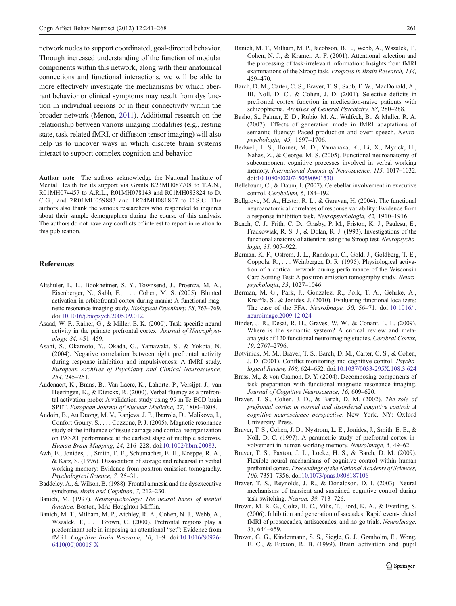<span id="page-20-0"></span>network nodes to support coordinated, goal-directed behavior. Through increased understanding of the function of modular components within this network, along with their anatomical connections and functional interactions, we will be able to more effectively investigate the mechanisms by which aberrant behavior or clinical symptoms may result from dysfunction in individual regions or in their connectivity within the broader network (Menon, [2011\)](#page-25-0). Additional research on the relationship between various imaging modalities (e.g., resting state, task-related fMRI, or diffusion tensor imaging) will also help us to uncover ways in which discrete brain systems interact to support complex cognition and behavior.

Author note The authors acknowledge the National Institute of Mental Health for its support via Grants K23MH087708 to T.A.N., R01MH074457 to A.R.L., R01MH078143 and R01MH083824 to D. C.G., and 2R01MH059883 and 1R24MH081807 to C.S.C. The authors also thank the various researchers who responded to inquires about their sample demographics during the course of this analysis. The authors do not have any conflicts of interest to report in relation to this publication.

#### References

- Altshuler, L. L., Bookheimer, S. Y., Townsend, J., Proenza, M. A., Eisenberger, N., Sabb, F., . . . Cohen, M. S. (2005). Blunted activation in orbitofrontal cortex during mania: A functional magnetic resonance imaging study. Biological Psychiatry, 58, 763–769. doi:[10.1016/j.biopsych.2005.09.012.](http://dx.doi.org/10.1016/j.biopsych.2005.09.012)
- Asaad, W. F., Rainer, G., & Miller, E. K. (2000). Task-specific neural activity in the primate prefrontal cortex. Journal of Neurophysiology, 84, 451–459.
- Asahi, S., Okamoto, Y., Okada, G., Yamawaki, S., & Yokota, N. (2004). Negative correlation between right prefrontal activity during response inhibition and impulsiveness: A fMRI study. European Archives of Psychiatry and Clinical Neuroscience, 254, 245–251.
- Audenaert, K., Brans, B., Van Laere, K., Lahorte, P., Versijpt, J., van Heeringen, K., & Dierckx, R. (2000). Verbal fluency as a prefrontal activation probe: A validation study using 99 m Tc-ECD brain SPET. European Journal of Nuclear Medicine, 27, 1800–1808.
- Audoin, B., Au Duong, M. V., Ranjeva, J. P., Ibarrola, D., Malikova, I., Confort-Gouny, S., . . . Cozzone, P. J. (2005). Magnetic resonance study of the influence of tissue damage and cortical reorganization on PASAT performance at the earliest stage of multiple sclerosis. Human Brain Mapping, 24, 216–228. doi:[10.1002/hbm.20083.](http://dx.doi.org/10.1002/hbm.20083)
- Awh, E., Jonides, J., Smith, E. E., Schumacher, E. H., Koeppe, R. A., & Katz, S. (1996). Dissociation of storage and rehearsal in verbal working memory: Evidence from positron emission tomography. Psychological Science, 7, 25–31.
- Baddeley, A., & Wilson, B. (1988). Frontal amnesia and the dysexecutive syndrome. Brain and Cognition, 7, 212–230.
- Banich, M. (1997). Neuropsychology: The neural bases of mental function. Boston, MA: Houghton Mifflin.
- Banich, M. T., Milham, M. P., Atchley, R. A., Cohen, N. J., Webb, A., Wszalek, T., . . . Brown, C. (2000). Prefrontal regions play a predominant role in imposing an attentional "set": Evidence from fMRI. Cognitive Brain Research, 10, 1–9. doi:[10.1016/S0926-](http://dx.doi.org/10.1016/S0926-6410(00)00015-X) [6410\(00\)00015-X](http://dx.doi.org/10.1016/S0926-6410(00)00015-X)
- Banich, M. T., Milham, M. P., Jacobson, B. L., Webb, A., Wszalek, T., Cohen, N. J., & Kramer, A. F. (2001). Attentional selection and the processing of task-irrelevant information: Insights from fMRI examinations of the Stroop task. Progress in Brain Research, 134, 459–470.
- Barch, D. M., Carter, C. S., Braver, T. S., Sabb, F. W., MacDonald, A., III, Noll, D. C., & Cohen, J. D. (2001). Selective deficits in prefrontal cortex function in medication-naive patients with schizophrenia. Archives of General Psychiatry, 58, 280–288.
- Basho, S., Palmer, E. D., Rubio, M. A., Wulfeck, B., & Muller, R. A. (2007). Effects of generation mode in fMRI adaptations of semantic fluency: Paced production and overt speech. Neuropsychologia, 45, 1697–1706.
- Bedwell, J. S., Horner, M. D., Yamanaka, K., Li, X., Myrick, H., Nahas, Z., & George, M. S. (2005). Functional neuroanatomy of subcomponent cognitive processes involved in verbal working memory. International Journal of Neuroscience, 115, 1017–1032. doi:[10.1080/00207450590901530](http://dx.doi.org/10.1080/00207450590901530)
- Bellebaum, C., & Daum, I. (2007). Cerebellar involvement in executive control. Cerebellum, 6, 184–192.
- Bellgrove, M. A., Hester, R. L., & Garavan, H. (2004). The functional neuroanatomical correlates of response variability: Evidence from a response inhibition task. Neuropsychologia, 42, 1910–1916.
- Bench, C. J., Frith, C. D., Grasby, P. M., Friston, K. J., Paulesu, E., Frackowiak, R. S. J., & Dolan, R. J. (1993). Investigations of the functional anatomy of attention using the Stroop test. Neuropsychologia, 31, 907–922.
- Berman, K. F., Ostrem, J. L., Randolph, C., Gold, J., Goldberg, T. E., Coppola, R., . . . Weinberger, D. R. (1995). Physiological activation of a cortical network during performance of the Wisconsin Card Sorting Test: A positron emission tomography study. Neuropsychologia, 33, 1027–1046.
- Berman, M. G., Park, J., Gonzalez, R., Polk, T. A., Gehrke, A., Knaffla, S., & Jonides, J. (2010). Evaluating functional localizers: The case of the FFA. NeuroImage, 50, 56–71. doi[:10.1016/j.](http://dx.doi.org/10.1016/j.neuroimage.2009.12.024) [neuroimage.2009.12.024](http://dx.doi.org/10.1016/j.neuroimage.2009.12.024)
- Binder, J. R., Desai, R. H., Graves, W. W., & Conant, L. L. (2009). Where is the semantic system? A critical review and metaanalysis of 120 functional neuroimaging studies. Cerebral Cortex, 19, 2767–2796.
- Botvinick, M. M., Braver, T. S., Barch, D. M., Carter, C. S., & Cohen, J. D. (2001). Conflict monitoring and cognitive control. Psychological Review, 108, 624–652. doi:[10.1037/0033-295X.108.3.624](http://dx.doi.org/10.1037/0033-295X.108.3.624)
- Brass, M., & von Cramon, D. Y. (2004). Decomposing components of task preparation with functional magnetic resonance imaging. Journal of Cognitive Neuroscience, 16, 609–620.
- Braver, T. S., Cohen, J. D., & Barch, D. M. (2002). The role of prefrontal cortex in normal and disordered cognitive control: A cognitive neuroscience perspective. New York, NY: Oxford University Press.
- Braver, T. S., Cohen, J. D., Nystrom, L. E., Jonides, J., Smith, E. E., & Noll, D. C. (1997). A parametric study of prefrontal cortex involvement in human working memory. NeuroImage, 5, 49–62.
- Braver, T. S., Paxton, J. L., Locke, H. S., & Barch, D. M. (2009). Flexible neural mechanisms of cognitive control within human prefrontal cortex. Proceedings of the National Academy of Sciences, 106, 7351–7356. doi[:10.1073/pnas.0808187106](http://dx.doi.org/10.1073/pnas.0808187106)
- Braver, T. S., Reynolds, J. R., & Donaldson, D. I. (2003). Neural mechanisms of transient and sustained cognitive control during task switching. Neuron, 39, 713–726.
- Brown, M. R. G., Goltz, H. C., Vilis, T., Ford, K. A., & Everling, S. (2006). Inhibition and generation of saccades: Rapid event-related fMRI of prosaccades, antisaccades, and no-go trials. NeuroImage, 33, 644–659.
- Brown, G. G., Kindermann, S. S., Siegle, G. J., Granholm, E., Wong, E. C., & Buxton, R. B. (1999). Brain activation and pupil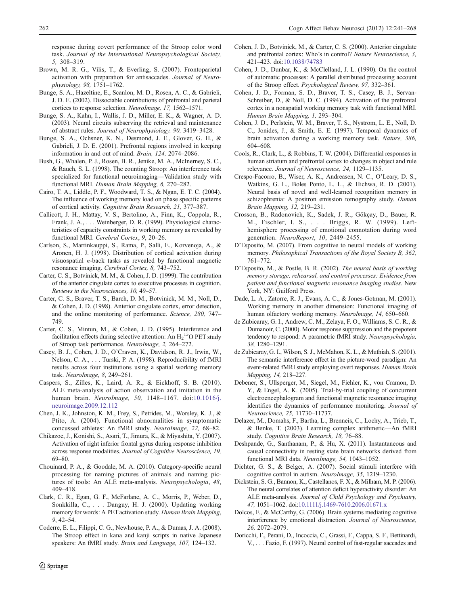<span id="page-21-0"></span>response during covert performance of the Stroop color word task. Journal of the International Neuropsychological Society, 5, 308–319.

- Brown, M. R. G., Vilis, T., & Everling, S. (2007). Frontoparietal activation with preparation for antisaccades. Journal of Neurophysiology, 98, 1751–1762.
- Bunge, S. A., Hazeltine, E., Scanlon, M. D., Rosen, A. C., & Gabrieli, J. D. E. (2002). Dissociable contributions of prefrontal and parietal cortices to response selection. NeuroImage, 17, 1562–1571.
- Bunge, S. A., Kahn, I., Wallis, J. D., Miller, E. K., & Wagner, A. D. (2003). Neural circuits subserving the retrieval and maintenance of abstract rules. Journal of Neurophysiology, 90, 3419–3428.
- Bunge, S. A., Ochsner, K. N., Desmond, J. E., Glover, G. H., & Gabrieli, J. D. E. (2001). Prefrontal regions involved in keeping information in and out of mind. Brain, 124, 2074–2086.
- Bush, G., Whalen, P. J., Rosen, B. R., Jenike, M. A., McInerney, S. C., & Rauch, S. L. (1998). The counting Stroop: An interference task specialized for functional neuroimaging—Validation study with functional MRI. Human Brain Mapping, 6, 270–282.
- Cairo, T. A., Liddle, P. F., Woodward, T. S., & Ngan, E. T. C. (2004). The influence of working memory load on phase specific patterns of cortical activity. Cognitive Brain Research, 21, 377–387.
- Callicott, J. H., Mattay, V. S., Bertolino, A., Finn, K., Coppola, R., Frank, J. A., ...Weinberger, D. R. (1999). Physiological characteristics of capacity constraints in working memory as revealed by functional MRI. Cerebral Cortex, 9, 20–26.
- Carlson, S., Martinkauppi, S., Rama, P., Salli, E., Korvenoja, A., & Aronen, H. J. (1998). Distribution of cortical activation during visuospatial n-back tasks as revealed by functional magnetic resonance imaging. Cerebral Cortex, 8, 743–752.
- Carter, C. S., Botvinick, M. M., & Cohen, J. D. (1999). The contribution of the anterior cingulate cortex to executive processes in cognition. Reviews in the Neurosciences, 10, 49–57.
- Carter, C. S., Braver, T. S., Barch, D. M., Botvinick, M. M., Noll, D., & Cohen, J. D. (1998). Anterior cingulate cortex, error detection, and the online monitoring of performance. Science, 280, 747– 749.
- Carter, C. S., Mintun, M., & Cohen, J. D. (1995). Interference and facilitation effects during selective attention: An  $H_2$ <sup>15</sup>O PET study of Stroop task performance. NeuroImage, 2, 264–272.
- Casey, B. J., Cohen, J. D., O'Craven, K., Davidson, R. J., Irwin, W., Nelson, C. A., . . . Turski, P. A. (1998). Reproducibility of fMRI results across four institutions using a spatial working memory task. NeuroImage, 8, 249–261.
- Caspers, S., Zilles, K., Laird, A. R., & Eickhoff, S. B. (2010). ALE meta-analysis of action observation and imitation in the human brain. NeuroImage, 50, 1148–1167. doi:[10.1016/j.](http://dx.doi.org/10.1016/j.neuroimage.2009.12.112) [neuroimage.2009.12.112](http://dx.doi.org/10.1016/j.neuroimage.2009.12.112)
- Chen, J. K., Johnston, K. M., Frey, S., Petrides, M., Worsley, K. J., & Ptito, A. (2004). Functional abnormalities in symptomatic concussed athletes: An fMRI study. NeuroImage, 22, 68–82.
- Chikazoe, J., Konishi, S., Asari, T., Jimura, K., & Miyashita, Y. (2007). Activation of right inferior frontal gyrus during response inhibition across response modalities. Journal of Cognitive Neuroscience, 19, 69–80.
- Chouinard, P. A., & Goodale, M. A. (2010). Category-specific neural processing for naming pictures of animals and naming pictures of tools: An ALE meta-analysis. Neuropsychologia, 48, 409–418.
- Clark, C. R., Egan, G. F., McFarlane, A. C., Morris, P., Weber, D., Sonkkilla, C., . . . Danguy, H. J. (2000). Updating working memory for words: A PET activation study. Human Brain Mapping, 9, 42–54.
- Coderre, E. L., Filippi, C. G., Newhouse, P. A., & Dumas, J. A. (2008). The Stroop effect in kana and kanji scripts in native Japanese speakers: An fMRI study. Brain and Language, 107, 124–132.
- Cohen, J. D., Botvinick, M., & Carter, C. S. (2000). Anterior cingulate and prefrontal cortex: Who's in control? Nature Neuroscience, 3, 421–423. doi[:10.1038/74783](http://dx.doi.org/10.1038/74783)
- Cohen, J. D., Dunbar, K., & McClelland, J. L. (1990). On the control of automatic processes: A parallel distributed processing account of the Stroop effect. Psychological Review, 97, 332–361.
- Cohen, J. D., Forman, S. D., Braver, T. S., Casey, B. J., Servan-Schreiber, D., & Noll, D. C. (1994). Activation of the prefrontal cortex in a nonspatial working memory task with functional MRI. Human Brain Mapping, 1, 293–304.
- Cohen, J. D., Perlstein, W. M., Braver, T. S., Nystrom, L. E., Noll, D. C., Jonides, J., & Smith, E. E. (1997). Temporal dynamics of brain activation during a working memory task. Nature, 386, 604–608.
- Cools, R., Clark, L., & Robbins, T. W. (2004). Differential responses in human striatum and prefrontal cortex to changes in object and rule relevance. Journal of Neuroscience, 24, 1129–1135.
- Crespo-Facorro, B., Wiser, A. K., Andreasen, N. C., O'Leary, D. S., Watkins, G. L., Boles Ponto, L. L., & Hichwa, R. D. (2001). Neural basis of novel and well-learned recognition memory in schizophrenia: A positron emission tomography study. Human Brain Mapping, 12, 219–231.
- Crosson, B., Radonovich, K., Sadek, J. R., Gökçay, D., Bauer, R. M., Fischler, I. S., . . . Briggs, R. W. (1999). Lefthemisphere processing of emotional connotation during word generation. NeuroReport, 10, 2449–2455.
- D'Esposito, M. (2007). From cognitive to neural models of working memory. Philosophical Transactions of the Royal Society B, 362, 761–772.
- D'Esposito, M., & Postle, B. R. (2002). The neural basis of working memory storage, rehearsal, and control processes: Evidence from patient and functional magnetic resonance imaging studies. New York, NY: Guilford Press.
- Dade, L. A., Zatorre, R. J., Evans, A. C., & Jones-Gotman, M. (2001). Working memory in another dimension: Functional imaging of human olfactory working memory. NeuroImage, 14, 650–660.
- de Zubicaray, G. I., Andrew, C. M., Zelaya, F. O., Williams, S. C. R., & Dumanoir, C. (2000). Motor response suppression and the prepotent tendency to respond: A parametric fMRI study. Neuropsychologia, 38, 1280–1291.
- de Zubicaray, G. I., Wilson, S. J., McMahon, K. L., & Muthiah, S. (2001). The semantic interference effect in the picture-word paradigm: An event-related fMRI study employing overt responses. Human Brain Mapping, 14, 218–227.
- Debener, S., Ullsperger, M., Siegel, M., Fiehler, K., von Cramon, D. Y., & Engel, A. K. (2005). Trial-by-trial coupling of concurrent electroencephalogram and functional magnetic resonance imaging identifies the dynamics of performance monitoring. Journal of Neuroscience, 25, 11730–11737.
- Delazer, M., Domahs, F., Bartha, L., Brenneis, C., Lochy, A., Trieb, T., & Benke, T. (2003). Learning complex arithmetic—An fMRI study. Cognitive Brain Research, 18, 76–88.
- Deshpande, G., Santhanam, P., & Hu, X. (2011). Instantaneous and causal connectivity in resting state brain networks derived from functional MRI data. NeuroImage, 54, 1043–1052.
- Dichter, G. S., & Belger, A. (2007). Social stimuli interfere with cognitive control in autism. NeuroImage, 35, 1219–1230.
- Dickstein, S. G., Bannon, K., Castellanos, F. X., & Milham, M. P. (2006). The neural correlates of attention deficit hyperactivity disorder: An ALE meta-analysis. Journal of Child Psychology and Psychiatry, 47, 1051–1062. doi:[10.1111/j.1469-7610.2006.01671.x](http://dx.doi.org/10.1111/j.1469-7610.2006.01671.x)
- Dolcos, F., & McCarthy, G. (2006). Brain systems mediating cognitive interference by emotional distraction. Journal of Neuroscience, 26, 2072–2079.
- Doricchi, F., Perani, D., Incoccia, C., Grassi, F., Cappa, S. F., Bettinardi, V., . . . Fazio, F. (1997). Neural control of fast-regular saccades and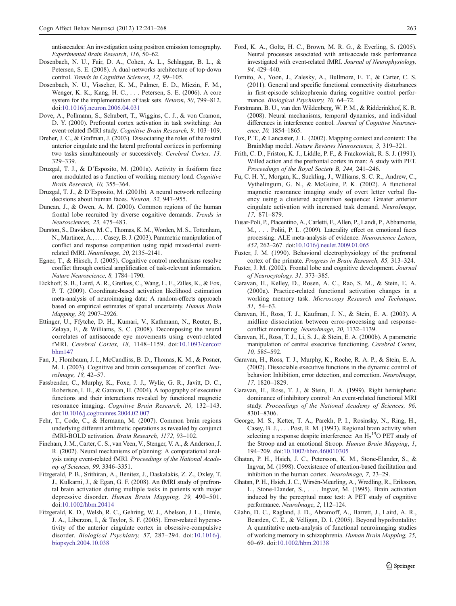<span id="page-22-0"></span>antisaccades: An investigation using positron emission tomography. Experimental Brain Research, 116, 50–62.

- Dosenbach, N. U., Fair, D. A., Cohen, A. L., Schlaggar, B. L., & Petersen, S. E. (2008). A dual-networks architecture of top-down control. Trends in Cognitive Sciences, 12, 99–105.
- Dosenbach, N. U., Visscher, K. M., Palmer, E. D., Miezin, F. M., Wenger, K. K., Kang, H. C., . . . Petersen, S. E. (2006). A core system for the implementation of task sets. Neuron, 50, 799–812. doi[:10.1016/j.neuron.2006.04.031](http://dx.doi.org/10.1016/j.neuron.2006.04.031)
- Dove, A., Pollmann, S., Schubert, T., Wiggins, C. J., & von Cramon, D. Y. (2000). Prefrontal cortex activation in task switching: An event-related fMRI study. Cognitive Brain Research, 9, 103–109.
- Dreher, J. C., & Grafman, J. (2003). Dissociating the roles of the rostral anterior cingulate and the lateral prefrontal cortices in performing two tasks simultaneously or successively. Cerebral Cortex, 13, 329–339.
- Druzgal, T. J., & D'Esposito, M. (2001a). Activity in fusiform face area modulated as a function of working memory load. Cognitive Brain Research, 10, 355–364.
- Druzgal, T. J., & D'Esposito, M. (2001b). A neural network reflecting decisions about human faces. Neuron, 32, 947–955.
- Duncan, J., & Owen, A. M. (2000). Common regions of the human frontal lobe recruited by diverse cognitive demands. Trends in Neurosciences, 23, 475–483.
- Durston, S., Davidson, M. C., Thomas, K. M., Worden, M. S., Tottenham, N., Martinez, A., . . . Casey, B. J. (2003). Parametric manipulation of conflict and response competition using rapid mixed-trial eventrelated fMRI. NeuroImage, 20, 2135–2141.
- Egner, T., & Hirsch, J. (2005). Cognitive control mechanisms resolve conflict through cortical amplification of task-relevant information. Nature Neuroscience, 8, 1784–1790.
- Eickhoff, S. B., Laird, A. R., Grefkes, C., Wang, L. E., Zilles, K., & Fox, P. T. (2009). Coordinate-based activation likelihood estimation meta-analysis of neuroimaging data: A random-effects approach based on empirical estimates of spatial uncertainty. Human Brain Mapping, 30, 2907–2926.
- Ettinger, U., Ffytche, D. H., Kumari, V., Kathmann, N., Reuter, B., Zelaya, F., & Williams, S. C. (2008). Decomposing the neural correlates of antisaccade eye movements using event-related fMRI. Cerebral Cortex, 18, 1148–1159. doi:[10.1093/cercor/](http://dx.doi.org/10.1093/cercor/bhm147) [bhm147](http://dx.doi.org/10.1093/cercor/bhm147)
- Fan, J., Flombaum, J. I., McCandliss, B. D., Thomas, K. M., & Posner, M. I. (2003). Cognitive and brain consequences of conflict. NeuroImage, 18, 42–57.
- Fassbender, C., Murphy, K., Foxe, J. J., Wylie, G. R., Javitt, D. C., Robertson, I. H., & Garavan, H. (2004). A topography of executive functions and their interactions revealed by functional magnetic resonance imaging. Cognitive Brain Research, 20, 132–143. doi:[10.1016/j.cogbrainres.2004.02.007](http://dx.doi.org/10.1016/j.cogbrainres.2004.02.007)
- Fehr, T., Code, C., & Hermann, M. (2007). Common brain regions underlying different arithmetic operations as revealed by conjunct fMRI-BOLD activation. Brain Research, 1172, 93–102.
- Fincham, J. M., Carter, C. S., van Veen, V., Stenger, V. A., & Anderson, J. R. (2002). Neural mechanisms of planning: A computational analysis using event-related fMRI. Proceedings of the National Academy of Sciences, 99, 3346–3351.
- Fitzgerald, P. B., Srithiran, A., Benitez, J., Daskalakis, Z. Z., Oxley, T. J., Kulkarni, J., & Egan, G. F. (2008). An fMRI study of prefrontal brain activation during multiple tasks in patients with major depressive disorder. Human Brain Mapping, 29, 490–501. doi[:10.1002/hbm.20414](http://dx.doi.org/10.1002/hbm.20414)
- Fitzgerald, K. D., Welsh, R. C., Gehring, W. J., Abelson, J. L., Himle, J. A., Liberzon, I., & Taylor, S. F. (2005). Error-related hyperactivity of the anterior cingulate cortex in obsessive-compulsive disorder. Biological Psychiatry, 57, 287–294. doi[:10.1016/j.](http://dx.doi.org/10.1016/j.biopsych.2004.10.038) [biopsych.2004.10.038](http://dx.doi.org/10.1016/j.biopsych.2004.10.038)
- Ford, K. A., Goltz, H. C., Brown, M. R. G., & Everling, S. (2005). Neural processes associated with antisaccade task performance investigated with event-related fMRI. Journal of Neurophysiology, 94, 429–440.
- Fornito, A., Yoon, J., Zalesky, A., Bullmore, E. T., & Carter, C. S. (2011). General and specific functional connectivity disturbances in first-episode schizophrenia during cognitive control performance. Biological Psychiatry, 70, 64–72.
- Forstmann, B. U., van den Wildenberg, W. P. M., & Ridderinkhof, K. R. (2008). Neural mechanisms, temporal dynamics, and individual differences in interference control. Journal of Cognitive Neuroscience, 20, 1854–1865.
- Fox, P. T., & Lancaster, J. L. (2002). Mapping context and content: The BrainMap model. Nature Reviews Neuroscience, 3, 319–321.
- Frith, C. D., Friston, K. J., Liddle, P. F., & Frackowiak, R. S. J. (1991). Willed action and the prefrontal cortex in man: A study with PET. Proceedings of the Royal Society B, 244, 241–246.
- Fu, C. H. Y., Morgan, K., Suckling, J., Williams, S. C. R., Andrew, C., Vythelingum, G. N., & McGuire, P. K. (2002). A functional magnetic resonance imaging study of overt letter verbal fluency using a clustered acquisition sequence: Greater anterior cingulate activation with increased task demand. NeuroImage, 17, 871–879.
- Fusar-Poli, P., Placentino, A., Carletti, F., Allen, P., Landi, P., Abbamonte, M., . . . Politi, P. L. (2009). Laterality effect on emotional faces processing: ALE meta-analysis of evidence. Neuroscience Letters, 452, 262–267. doi:[10.1016/j.neulet.2009.01.065](http://dx.doi.org/10.1016/j.neulet.2009.01.065)
- Fuster, J. M. (1990). Behavioral electrophysiology of the prefrontal cortex of the primate. Progress in Brain Research, 85, 313–324.
- Fuster, J. M. (2002). Frontal lobe and cognitive development. Journal of Neurocytology, 31, 373–385.
- Garavan, H., Kelley, D., Rosen, A. C., Rao, S. M., & Stein, E. A. (2000a). Practice-related functional activation changes in a working memory task. Microscopy Research and Technique, 51, 54–63.
- Garavan, H., Ross, T. J., Kaufman, J. N., & Stein, E. A. (2003). A midline dissociation between error-processing and responseconflict monitoring. NeuroImage, 20, 1132–1139.
- Garavan, H., Ross, T. J., Li, S. J., & Stein, E. A. (2000b). A parametric manipulation of central executive functioning. Cerebral Cortex, 10, 585–592.
- Garavan, H., Ross, T. J., Murphy, K., Roche, R. A. P., & Stein, E. A. (2002). Dissociable executive functions in the dynamic control of behavior: Inhibition, error detection, and correction. NeuroImage, 17, 1820–1829.
- Garavan, H., Ross, T. J., & Stein, E. A. (1999). Right hemispheric dominance of inhibitory control: An event-related functional MRI study. Proceedings of the National Academy of Sciences, 96, 8301–8306.
- George, M. S., Ketter, T. A., Parekh, P. I., Rosinsky, N., Ring, H., Casey, B. J., . . . Post, R. M. (1993). Regional brain activity when selecting a response despite interference: An  $H_2$ <sup>15</sup>O PET study of the Stroop and an emotional Stroop. Human Brain Mapping, 1, 194–209. doi[:10.1002/hbm.460010305](http://dx.doi.org/10.1002/hbm.460010305)
- Ghatan, P. H., Hsieh, J. C., Petersson, K. M., Stone-Elander, S., & Ingvar, M. (1998). Coexistence of attention-based facilitation and inhibition in the human cortex. NeuroImage, 7, 23–29.
- Ghatan, P. H., Hsieh, J. C., Wirsén-Meurling, A., Wredling, R., Eriksson, L., Stone-Elander, S.,... Ingvar, M. (1995). Brain activation induced by the perceptual maze test: A PET study of cognitive performance. NeuroImage, 2, 112–124.
- Glahn, D. C., Ragland, J. D., Abramoff, A., Barrett, J., Laird, A. R., Bearden, C. E., & Velligan, D. I. (2005). Beyond hypofrontality: A quantitative meta-analysis of functional neuroimaging studies of working memory in schizophrenia. Human Brain Mapping, 25, 60–69. doi:[10.1002/hbm.20138](http://dx.doi.org/10.1002/hbm.20138)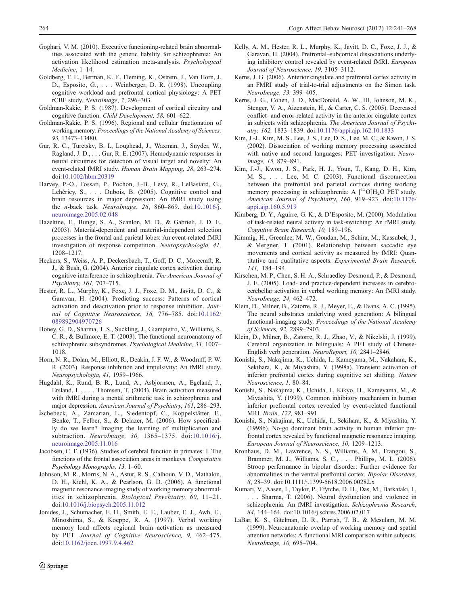- <span id="page-23-0"></span>Goghari, V. M. (2010). Executive functioning-related brain abnormalities associated with the genetic liability for schizophrenia: An activation likelihood estimation meta-analysis. Psychological Medicine, 1–14.
- Goldberg, T. E., Berman, K. F., Fleming, K., Ostrem, J., Van Horn, J. D., Esposito, G., . . . Weinberger, D. R. (1998). Uncoupling cognitive workload and prefrontal cortical physiology: A PET rCBF study. NeuroImage, 7, 296–303.
- Goldman-Rakic, P. S. (1987). Development of cortical circuitry and cognitive function. Child Development, 58, 601–622.
- Goldman-Rakic, P. S. (1996). Regional and cellular fractionation of working memory. Proceedings of the National Academy of Sciences, 93, 13473–13480.
- Gur, R. C., Turetsky, B. I., Loughead, J., Waxman, J., Snyder, W., Ragland, J. D., . . . Gur, R. E. (2007). Hemodynamic responses in neural circuitries for detection of visual target and novelty: An event-related fMRI study. Human Brain Mapping, 28, 263–274. doi[:10.1002/hbm.20319](http://dx.doi.org/10.1002/hbm.20319)
- Harvey, P.-O., Fossati, P., Pochon, J.-B., Levy, R., LeBastard, G., Lehéricy, S., . . . Dubois, B. (2005). Cognitive control and brain resources in major depression: An fMRI study using the n-back task. NeuroImage, 26, 860–869. doi[:10.1016/j.](http://dx.doi.org/10.1016/j.neuroimage.2005.02.048) [neuroimage.2005.02.048](http://dx.doi.org/10.1016/j.neuroimage.2005.02.048)
- Hazeltine, E., Bunge, S. A., Scanlon, M. D., & Gabrieli, J. D. E. (2003). Material-dependent and material-independent selection processes in the frontal and parietal lobes: An event-related fMRI investigation of response competition. Neuropsychologia, 41, 1208–1217.
- Heckers, S., Weiss, A. P., Deckersbach, T., Goff, D. C., Morecraft, R. J., & Bush, G. (2004). Anterior cingulate cortex activation during cognitive interference in schizophrenia. The American Journal of Psychiatry, 161, 707–715.
- Hester, R. L., Murphy, K., Foxe, J. J., Foxe, D. M., Javitt, D. C., & Garavan, H. (2004). Predicting success: Patterns of cortical activation and deactivation prior to response inhibition. Journal of Cognitive Neuroscience, 16, 776–785. doi[:10.1162/](http://dx.doi.org/10.1162/089892904970726) [089892904970726](http://dx.doi.org/10.1162/089892904970726)
- Honey, G. D., Sharma, T. S., Suckling, J., Giampietro, V., Williams, S. C. R., & Bullmore, E. T. (2003). The functional neuroanatomy of schizophrenic subsyndromes. Psychological Medicine, 33, 1007– 1018.
- Horn, N. R., Dolan, M., Elliott, R., Deakin, J. F. W., & Woodruff, P. W. R. (2003). Response inhibition and impulsivity: An fMRI study. Neuropsychologia, 41, 1959–1966.
- Hugdahl, K., Rund, B. R., Lund, A., Asbjornsen, A., Egeland, J., Ersland, L., . . . Thomsen, T. (2004). Brain activation measured with fMRI during a mental arithmetic task in schizophrenia and major depression. American Journal of Psychiatry, 161, 286–293.
- Ischebeck, A., Zamarian, L., Siedentopf, C., Koppelstätter, F., Benke, T., Felber, S., & Delazer, M. (2006). How specifically do we learn? Imaging the learning of multiplication and subtraction. NeuroImage, 30, 1365–1375. doi:[10.1016/j.](http://dx.doi.org/10.1016/j.neuroimage.2005.11.016) [neuroimage.2005.11.016](http://dx.doi.org/10.1016/j.neuroimage.2005.11.016)
- Jacobsen, C. F. (1936). Studies of cerebral function in primates: I. The functions of the frontal association areas in monkeys. Comparative Psychology Monographs, 13, 1–60.
- Johnson, M. R., Morris, N. A., Astur, R. S., Calhoun, V. D., Mathalon, D. H., Kiehl, K. A., & Pearlson, G. D. (2006). A functional magnetic resonance imaging study of working memory abnormalities in schizophrenia. Biological Psychiatry, 60, 11–21. doi[:10.1016/j.biopsych.2005.11.012](http://dx.doi.org/10.1016/j.biopsych.2005.11.012)
- Jonides, J., Schumacher, E. H., Smith, E. E., Lauber, E. J., Awh, E., Minoshima, S., & Koeppe, R. A. (1997). Verbal working memory load affects regional brain activation as measured by PET. Journal of Cognitive Neuroscience, 9, 462–475. doi[:10.1162/jocn.1997.9.4.462](http://dx.doi.org/10.1162/jocn.1997.9.4.462)
- Kelly, A. M., Hester, R. L., Murphy, K., Javitt, D. C., Foxe, J. J., & Garavan, H. (2004). Prefrontal–subcortical dissociations underlying inhibitory control revealed by event-related fMRI. European Journal of Neuroscience, 19, 3105–3112.
- Kerns, J. G. (2006). Anterior cingulate and prefrontal cortex activity in an FMRI study of trial-to-trial adjustments on the Simon task. NeuroImage, 33, 399–405.
- Kerns, J. G., Cohen, J. D., MacDonald, A. W., III, Johnson, M. K., Stenger, V. A., Aizenstein, H., & Carter, C. S. (2005). Decreased conflict- and error-related activity in the anterior cingulate cortex in subjects with schizophrenia. The American Journal of Psychiatry, 162, 1833–1839. doi:[10.1176/appi.ajp.162.10.1833](http://dx.doi.org/10.1176/appi.ajp.162.10.1833)
- Kim, J.-J., Kim, M. S., Lee, J. S., Lee, D. S., Lee, M. C., & Kwon, J. S. (2002). Dissociation of working memory processing associated with native and second languages: PET investigation. Neuro-Image, 15, 879–891.
- Kim, J.-J., Kwon, J. S., Park, H. J., Youn, T., Kang, D. H., Kim, M. S., . . . Lee, M. C. (2003). Functional disconnection between the prefrontal and parietal cortices during working memory processing in schizophrenia: A  $[{}^{15}O]H_2O$  PET study. American Journal of Psychiatry, 160, 919–923. doi:[10.1176/](http://dx.doi.org/10.1176/appi.ajp.160.5.919) [appi.ajp.160.5.919](http://dx.doi.org/10.1176/appi.ajp.160.5.919)
- Kimberg, D. Y., Aguirre, G. K., & D'Esposito, M. (2000). Modulation of task-related neural activity in task-switching: An fMRI study. Cognitive Brain Research, 10, 189–196.
- Kimmig, H., Greenlee, M. W., Gondan, M., Schira, M., Kassubek, J., & Mergner, T. (2001). Relationship between saccadic eye movements and cortical activity as measured by fMRI: Quantitative and qualitative aspects. Experimental Brain Research, 141, 184–194.
- Kirschen, M. P., Chen, S. H. A., Schraedley-Desmond, P., & Desmond, J. E. (2005). Load- and practice-dependent increases in cerebrocerebellar activation in verbal working memory: An fMRI study. NeuroImage, 24, 462–472.
- Klein, D., Milner, B., Zatorre, R. J., Meyer, E., & Evans, A. C. (1995). The neural substrates underlying word generation: A bilingual functional-imaging study. Proceedings of the National Academy of Sciences, 92, 2899–2903.
- Klein, D., Milner, B., Zatorre, R. J., Zhao, V., & Nikelski, J. (1999). Cerebral organization in bilinguals: A PET study of Chinese-English verb generation. NeuroReport, 10, 2841–2846.
- Konishi, S., Nakajima, K., Uchida, I., Kameyama, M., Nakahara, K., Sekihara, K., & Miyashita, Y. (1998a). Transient activation of inferior prefrontal cortex during cognitive set shifting. Nature Neuroscience, 1, 80–84.
- Konishi, S., Nakajima, K., Uchida, I., Kikyo, H., Kameyama, M., & Miyashita, Y. (1999). Common inhibitory mechanism in human inferior prefrontal cortex revealed by event-related functional MRI. Brain, 122, 981–991.
- Konishi, S., Nakajima, K., Uchida, I., Sekihara, K., & Miyashita, Y. (1998b). No-go dominant brain activity in human inferior prefrontal cortex revealed by functional magnetic resonance imaging. European Journal of Neuroscience, 10, 1209–1213.
- Kronhaus, D. M., Lawrence, N. S., Williams, A. M., Frangou, S., Brammer, M. J., Williams, S. C., . . . Phillips, M. L. (2006). Stroop performance in bipolar disorder: Further evidence for abnormalities in the ventral prefrontal cortex. Bipolar Disorders, 8, 28–39. doi:10.1111/j.1399-5618.2006.00282.x
- Kumari, V., Aasen, I., Taylor, P., Ffytche, D. H., Das, M., Barkataki, I., . . . Sharma, T. (2006). Neural dysfunction and violence in schizophrenia: An fMRI investigation. Schizophrenia Research, 84, 144–164. doi:10.1016/j.schres.2006.02.017
- LaBar, K. S., Gitelman, D. R., Parrish, T. B., & Mesulam, M. M. (1999). Neuroanatomic overlap of working memory and spatial attention networks: A functional MRI comparison within subjects. NeuroImage, 10, 695–704.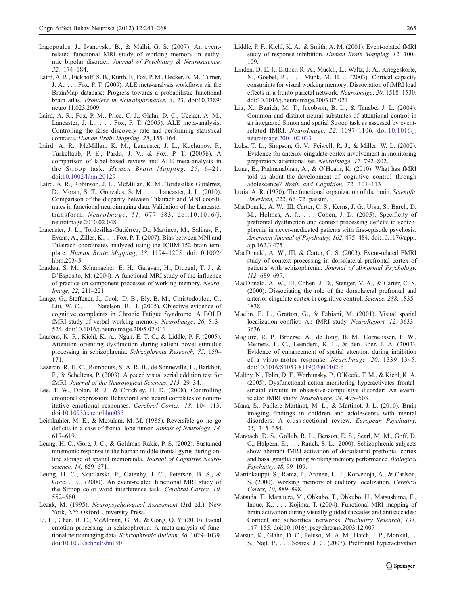- <span id="page-24-0"></span>Lagopoulos, J., Ivanovski, B., & Malhi, G. S. (2007). An eventrelated functional MRI study of working memory in euthymic bipolar disorder. Journal of Psychiatry & Neuroscience, 32, 174–184.
- Laird, A. R., Eickhoff, S. B., Kurth, F., Fox, P. M., Uecker, A. M., Turner, J. A., . . . Fox, P. T. (2009). ALE meta-analysis workflows via the BrainMap database: Progress towards a probabilistic functional brain atlas. Frontiers in Neuroinformatics, 3, 23. doi:10.3389/ neuro.11.023.2009
- Laird, A. R., Fox, P. M., Price, C. J., Glahn, D. C., Uecker, A. M., Lancaster, J. L., . . . Fox, P. T. (2005). ALE meta-analysis: Controlling the false discovery rate and performing statistical contrasts. Human Brain Mapping, 25, 155–164.
- Laird, A. R., McMillan, K. M., Lancaster, J. L., Kochunov, P., Turkeltaub, P. E., Pardo, J. V., & Fox, P. T. (2005b). A comparison of label-based review and ALE meta-analysis in the Stroop task. Human Brain Mapping, 25, 6–21. doi[:10.1002/hbm.20129](http://dx.doi.org/10.1002/hbm.20129)
- Laird, A. R., Robinson, J. L., McMillan, K. M., Tordesillas-Gutiérrez, D., Moran, S. T., Gonzales, S. M., . . . Lancaster, J. L. (2010). Comparison of the disparity between Talairach and MNI coordinates in functional neuroimaging data: Validation of the Lancaster transform. NeuroImage, 51, 677–683. doi:10.1016/j. neuroimage.2010.02.048
- Lancaster, J. L., Tordesillas-Gutiérrez, D., Martinez, M., Salinas, F., Evans, A., Zilles, K., . . . Fox, P. T. (2007). Bias between MNI and Talairach coordinates analyzed using the ICBM-152 brain template. Human Brain Mapping, 28, 1194–1205. doi:10.1002/ hbm.20345
- Landau, S. M., Schumacher, E. H., Garavan, H., Druzgal, T. J., & D'Esposito, M. (2004). A functional MRI study of the influence of practice on component processes of working memory. Neuro-Image, 22, 211–221.
- Lange, G., Steffener, J., Cook, D. B., Bly, B. M., Christodoulou, C., Liu, W. C., . . . Natelson, B. H. (2005). Objective evidence of cognitive complaints in Chronic Fatigue Syndrome: A BOLD fMRI study of verbal working memory. NeuroImage, 26, 513-524. doi:10.1016/j.neuroimage.2005.02.011
- Laurens, K. R., Kiehl, K. A., Ngan, E. T. C., & Liddle, P. F. (2005). Attention orienting dysfunction during salient novel stimulus processing in schizophrenia. Schizophrenia Research, 75, 159– 171.
- Lazeron, R. H. C., Rombouts, S. A. R. B., de Sonneville, L., Barkhof, F., & Scheltens, P. (2003). A paced visual serial addition test for fMRI. Journal of the Neurological Sciences, 213, 29–34.
- Lee, T. W., Dolan, R. J., & Critchley, H. D. (2008). Controlling emotional expression: Behavioral and neural correlates of nonimitative emotional responses. Cerebral Cortex, 18, 104–113. doi[:10.1093/cercor/bhm035](http://dx.doi.org/10.1093/cercor/bhm035)
- Leimkuhler, M. E., & Mesulam, M. M. (1985). Reversible go–no go deficits in a case of frontal lobe tumor. Annals of Neurology, 18, 617–619.
- Leung, H. C., Gore, J. C., & Goldman-Rakic, P. S. (2002). Sustained mnemonic response in the human middle frontal gyrus during online storage of spatial memoranda. Journal of Cognitive Neuroscience, 14, 659–671.
- Leung, H. C., Skudlarski, P., Gatenby, J. C., Peterson, B. S., & Gore, J. C. (2000). An event-related functional MRI study of the Stroop color word interference task. Cerebral Cortex, 10, 552–560.
- Lezak, M. (1995). Neuropsychological Assessment (3rd ed.). New York, NY: Oxford University Press.
- Li, H., Chan, R. C., McAlonan, G. M., & Gong, Q. Y. (2010). Facial emotion processing in schizophrenia: A meta-analysis of functional neuroimaging data. Schizophrenia Bulletin, 36, 1029–1039. doi[:10.1093/schbul/sbn190](http://dx.doi.org/10.1093/schbul/sbn190)
- Liddle, P. F., Kiehl, K. A., & Smith, A. M. (2001). Event-related fMRI study of response inhibition. Human Brain Mapping, 12, 100– 109.
- Linden, D. E. J., Bittner, R. A., Muckli, L., Waltz, J. A., Kriegeskorte, N., Goebel, R., . . . Munk, M. H. J. (2003). Cortical capacity constraints for visual working memory: Dissociation of fMRI load effects in a fronto-parietal network. NeuroImage, 20, 1518–1530. doi:10.1016/j.neuroimage.2003.07.021
- Liu, X., Banich, M. T., Jacobson, B. L., & Tanabe, J. L. (2004). Common and distinct neural substrates of attentional control in an integrated Simon and spatial Stroop task as assessed by eventrelated fMRI. NeuroImage, 22, 1097–1106. doi:[10.1016/j.](http://dx.doi.org/10.1016/j.neuroimage.2004.02.033) [neuroimage.2004.02.033](http://dx.doi.org/10.1016/j.neuroimage.2004.02.033)
- Luks, T. L., Simpson, G. V., Feiwell, R. J., & Miller, W. L. (2002). Evidence for anterior cingulate cortex involvement in monitoring preparatory attentional set. NeuroImage, 17, 792–802.
- Luna, B., Padmanabhan, A., & O'Hearn, K. (2010). What has fMRI told us about the development of cognitive control through adolescence? Brain and Cognition, 72, 101–113.
- Luria, A. R. (1970). The functional organization of the brain. Scientific American, 222, 66–72. passim.
- MacDonald, A. W., III, Carter, C. S., Kerns, J. G., Ursu, S., Barch, D. M., Holmes, A. J., . . . Cohen, J. D. (2005). Specificity of prefrontal dysfunction and context processing deficits to schizophrenia in never-medicated patients with first-episode psychosis. American Journal of Psychiatry, 162, 475–484. doi:10.1176/appi. ajp.162.3.475
- MacDonald, A. W., III, & Carter, C. S. (2003). Event-related FMRI study of context processing in dorsolateral prefrontal cortex of patients with schizophrenia. Journal of Abnormal Psychology, 112, 689–697.
- MacDonald, A. W., III, Cohen, J. D., Stenger, V. A., & Carter, C. S. (2000). Dissociating the role of the dorsolateral prefrontal and anterior cingulate cortex in cognitive control. Science, 288, 1835– 1838.
- Maclin, E. L., Gratton, G., & Fabiani, M. (2001). Visual spatial localization conflict: An fMRI study. NeuroReport, 12, 3633– 3636.
- Maguire, R. P., Broerse, A., de Jong, B. M., Cornelissen, F. W., Meiners, L. C., Leenders, K. L., & den Boer, J. A. (2003). Evidence of enhancement of spatial attention during inhibition of a visuo-motor response. NeuroImage, 20, 1339–1345. doi[:10.1016/S1053-8119\(03\)00402-6](http://dx.doi.org/10.1016/S1053-8119(03)00402-6)
- Maltby, N., Tolin, D. F., Worhunsky, P., O'Keefe, T. M., & Kiehl, K. A. (2005). Dysfunctional action monitoring hyperactivates frontalstriatal circuits in obsessive-compulsive disorder: An eventrelated fMRI study. NeuroImage, 24, 495–503.
- Mana, S., Paillere Martinot, M. L., & Martinot, J. L. (2010). Brain imaging findings in children and adolescents with mental disorders: A cross-sectional review. European Psychiatry, 25, 345–354.
- Manoach, D. S., Gollub, R. L., Benson, E. S., Searl, M. M., Goff, D. C., Halpern, E., . . . Rauch, S. L. (2000). Schizophrenic subjects show aberrant fMRI activation of dorsolateral prefrontal cortex and basal ganglia during working memory performance. Biological Psychiatry, 48, 99–109.
- Martinkauppi, S., Rama, P., Aronen, H. J., Korvenoja, A., & Carlson, S. (2000). Working memory of auditory localization. Cerebral Cortex, 10, 889–898.
- Matsuda, T., Matsuura, M., Ohkubo, T., Ohkubo, H., Matsushima, E., Inoue, K., . . . Kojima, T. (2004). Functional MRI mapping of brain activation during visually guided saccades and antisaccades: Cortical and subcortical networks. Psychiatry Research, 131, 147–155. doi:10.1016/j.pscychresns.2003.12.007
- Matsuo, K., Glahn, D. C., Peluso, M. A. M., Hatch, J. P., Monkul, E. S., Najt, P., . . . Soares, J. C. (2007). Prefrontal hyperactivation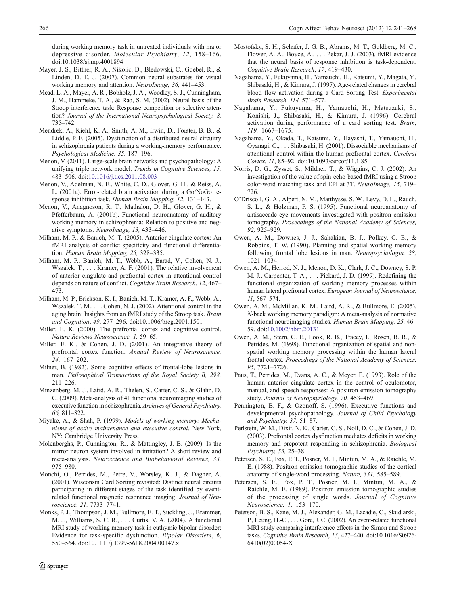<span id="page-25-0"></span>during working memory task in untreated individuals with major depressive disorder. Molecular Psychiatry, 12, 158–166. doi:10.1038/sj.mp.4001894

- Mayer, J. S., Bittner, R. A., Nikolic, D., Bledowski, C., Goebel, R., & Linden, D. E. J. (2007). Common neural substrates for visual working memory and attention. NeuroImage, 36, 441–453.
- Mead, L. A., Mayer, A. R., Bobholz, J. A., Woodley, S. J., Cunningham, J. M., Hammeke, T. A., & Rao, S. M. (2002). Neural basis of the Stroop interference task: Response competition or selective attention? Journal of the International Neuropsychological Society, 8, 735–742.
- Mendrek, A., Kiehl, K. A., Smith, A. M., Irwin, D., Forster, B. B., & Liddle, P. F. (2005). Dysfunction of a distributed neural circuitry in schizophrenia patients during a working-memory performance. Psychological Medicine, 35, 187–196.
- Menon, V. (2011). Large-scale brain networks and psychopathology: A unifying triple network model. Trends in Cognitive Sciences, 15, 483–506. doi[:10.1016/j.tics.2011.08.003](http://dx.doi.org/10.1016/j.tics.2011.08.003)
- Menon, V., Adelman, N. E., White, C. D., Glover, G. H., & Reiss, A. L. (2001a). Error-related brain activation during a Go/NoGo response inhibition task. Human Brain Mapping, 12, 131–143.
- Menon, V., Anagnoson, R. T., Mathalon, D. H., Glover, G. H., & Pfefferbaum, A. (2001b). Functional neuroanatomy of auditory working memory in schizophrenia: Relation to positive and negative symptoms. NeuroImage, 13, 433–446.
- Milham, M. P., & Banich, M. T. (2005). Anterior cingulate cortex: An fMRI analysis of conflict specificity and functional differentiation. Human Brain Mapping, 25, 328–335.
- Milham, M. P., Banich, M. T., Webb, A., Barad, V., Cohen, N. J., Wszalek, T., . . . Kramer, A. F. (2001). The relative involvement of anterior cingulate and prefrontal cortex in attentional control depends on nature of conflict. Cognitive Brain Research, 12, 467– 473.
- Milham, M. P., Erickson, K. I., Banich, M. T., Kramer, A. F., Webb, A., Wszalek, T. M., . . . Cohen, N. J. (2002). Attentional control in the aging brain: Insights from an fMRI study of the Stroop task. Brain and Cognition, 49, 277–296. doi:10.1006/brcg.2001.1501
- Miller, E. K. (2000). The prefrontal cortex and cognitive control. Nature Reviews Neuroscience, 1, 59–65.
- Miller, E. K., & Cohen, J. D. (2001). An integrative theory of prefrontal cortex function. Annual Review of Neuroscience, 24, 167–202.
- Milner, B. (1982). Some cognitive effects of frontal-lobe lesions in man. Philosophical Transactions of the Royal Society B, 298, 211–226.
- Minzenberg, M. J., Laird, A. R., Thelen, S., Carter, C. S., & Glahn, D. C. (2009). Meta-analysis of 41 functional neuroimaging studies of executive function in schizophrenia. Archives of General Psychiatry, 66, 811–822.
- Miyake, A., & Shah, P. (1999). Models of working memory: Mechanisms of active maintenance and executive control. New York, NY: Cambridge University Press.
- Molenberghs, P., Cunnington, R., & Mattingley, J. B. (2009). Is the mirror neuron system involved in imitation? A short review and meta-analysis. Neuroscience and Biobehavioral Reviews, 33, 975–980.
- Monchi, O., Petrides, M., Petre, V., Worsley, K. J., & Dagher, A. (2001). Wisconsin Card Sorting revisited: Distinct neural circuits participating in different stages of the task identified by eventrelated functional magnetic resonance imaging. Journal of Neuroscience, 21, 7733–7741.
- Monks, P. J., Thompson, J. M., Bullmore, E. T., Suckling, J., Brammer, M. J., Williams, S. C. R., . . . Curtis, V. A. (2004). A functional MRI study of working memory task in euthymic bipolar disorder: Evidence for task-specific dysfunction. Bipolar Disorders, 6, 550–564. doi:10.1111/j.1399-5618.2004.00147.x
- Mostofsky, S. H., Schafer, J. G. B., Abrams, M. T., Goldberg, M. C., Flower, A. A., Boyce, A., . . . Pekar, J. J. (2003). fMRI evidence that the neural basis of response inhibition is task-dependent. Cognitive Brain Research, 17, 419–430.
- Nagahama, Y., Fukuyama, H., Yamauchi, H., Katsumi, Y., Magata, Y., Shibasaki, H., & Kimura, J. (1997). Age-related changes in cerebral blood flow activation during a Card Sorting Test. Experimental Brain Research, 114, 571–577.
- Nagahama, Y., Fukuyama, H., Yamauchi, H., Matsuzaki, S., Konishi, J., Shibasaki, H., & Kimura, J. (1996). Cerebral activation during performance of a card sorting test. Brain, 119, 1667–1675.
- Nagahama, Y., Okada, T., Katsumi, Y., Hayashi, T., Yamauchi, H., Oyanagi, C., . . . Shibasaki, H. (2001). Dissociable mechanisms of attentional control within the human prefrontal cortex. Cerebral Cortex, 11, 85–92. doi:10.1093/cercor/11.1.85
- Norris, D. G., Zysset, S., Mildner, T., & Wiggins, C. J. (2002). An investigation of the value of spin-echo-based fMRI using a Stroop color-word matching task and EPI at 3T. NeuroImage, 15, 719– 726.
- O'Driscoll, G. A., Alpert, N. M., Matthysse, S. W., Levy, D. L., Rauch, S. L., & Holzman, P. S. (1995). Functional neuroanatomy of antisaccade eye movements investigated with positron emission tomography. Proceedings of the National Academy of Sciences, 92, 925–929.
- Owen, A. M., Downes, J. J., Sahakian, B. J., Polkey, C. E., & Robbins, T. W. (1990). Planning and spatial working memory following frontal lobe lesions in man. Neuropsychologia, 28, 1021–1034.
- Owen, A. M., Herrod, N. J., Menon, D. K., Clark, J. C., Downey, S. P. M. J., Carpenter, T. A., . . . Pickard, J. D. (1999). Redefining the functional organization of working memory processes within human lateral prefrontal cortex. European Journal of Neuroscience, 11, 567–574.
- Owen, A. M., McMillan, K. M., Laird, A. R., & Bullmore, E. (2005). N-back working memory paradigm: A meta-analysis of normative functional neuroimaging studies. Human Brain Mapping, 25, 46– 59. doi[:10.1002/hbm.20131](http://dx.doi.org/10.1002/hbm.20131)
- Owen, A. M., Stern, C. E., Look, R. B., Tracey, I., Rosen, B. R., & Petrides, M. (1998). Functional organization of spatial and nonspatial working memory processing within the human lateral frontal cortex. Proceedings of the National Academy of Sciences, 95, 7721–7726.
- Paus, T., Petrides, M., Evans, A. C., & Meyer, E. (1993). Role of the human anterior cingulate cortex in the control of oculomotor, manual, and speech responses: A positron emission tomography study. Journal of Neurophysiology, 70, 453–469.
- Pennington, B. F., & Ozonoff, S. (1996). Executive functions and developmental psychopathology. Journal of Child Psychology and Psychiatry, 37, 51–87.
- Perlstein, W. M., Dixit, N. K., Carter, C. S., Noll, D. C., & Cohen, J. D. (2003). Prefrontal cortex dysfunction mediates deficits in working memory and prepotent responding in schizophrenia. Biological Psychiatry, 53, 25–38.
- Petersen, S. E., Fox, P. T., Posner, M. I., Mintun, M. A., & Raichle, M. E. (1988). Positron emission tomographic studies of the cortical anatomy of single-word processing. Nature, 331, 585–589.
- Petersen, S. E., Fox, P. T., Posner, M. I., Mintun, M. A., & Raichle, M. E. (1989). Positron emission tomographic studies of the processing of single words. Journal of Cognitive Neuroscience, 1, 153–170.
- Peterson, B. S., Kane, M. J., Alexander, G. M., Lacadie, C., Skudlarski, P., Leung, H.-C., . . . Gore, J. C. (2002). An event-related functional MRI study comparing interference effects in the Simon and Stroop tasks. Cognitive Brain Research, 13, 427–440. doi:10.1016/S0926- 6410(02)00054-X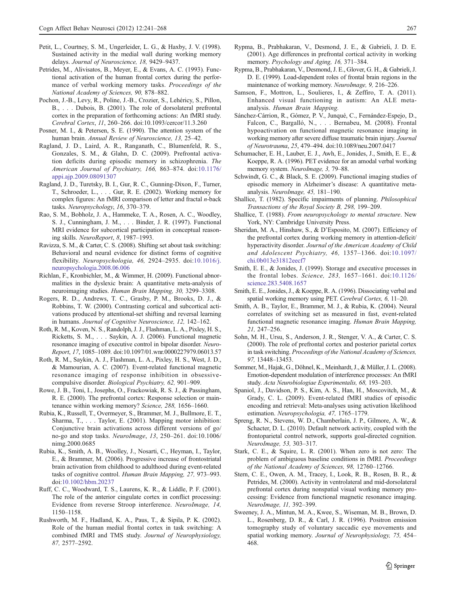- <span id="page-26-0"></span>Petit, L., Courtney, S. M., Ungerleider, L. G., & Haxby, J. V. (1998). Sustained activity in the medial wall during working memory delays. Journal of Neuroscience, 18, 9429–9437.
- Petrides, M., Alivisatos, B., Meyer, E., & Evans, A. C. (1993). Functional activation of the human frontal cortex during the performance of verbal working memory tasks. Proceedings of the National Academy of Sciences, 90, 878–882.
- Pochon, J.-B., Levy, R., Poline, J.-B., Crozier, S., Lehéricy, S., Pillon, B., . . . Dubois, B. (2001). The role of dorsolateral prefrontal cortex in the preparation of forthcoming actions: An fMRI study. Cerebral Cortex, 11, 260–266. doi:10.1093/cercor/11.3.260
- Posner, M. I., & Petersen, S. E. (1990). The attention system of the human brain. Annual Review of Neuroscience, 13, 25–42.
- Ragland, J. D., Laird, A. R., Ranganath, C., Blumenfeld, R. S., Gonzales, S. M., & Glahn, D. C. (2009). Prefrontal activation deficits during episodic memory in schizophrenia. The American Journal of Psychiatry, 166, 863–874. doi:[10.1176/](http://dx.doi.org/10.1176/appi.ajp.2009.08091307) [appi.ajp.2009.08091307](http://dx.doi.org/10.1176/appi.ajp.2009.08091307)
- Ragland, J. D., Turetsky, B. I., Gur, R. C., Gunning-Dixon, F., Turner, T., Schroeder, L., . . . Gur, R. E. (2002). Working memory for complex figures: An fMRI comparison of letter and fractal n-back tasks. Neuropsychology, 16, 370–379.
- Rao, S. M., Bobholz, J. A., Hammeke, T. A., Rosen, A. C., Woodley, S. J., Cunningham, J. M., . . . Binder, J. R. (1997). Functional MRI evidence for subcortical participation in conceptual reasoning skills. NeuroReport, 8, 1987–1993.
- Ravizza, S. M., & Carter, C. S. (2008). Shifting set about task switching: Behavioral and neural evidence for distinct forms of cognitive flexibility. Neuropsychologia, 46, 2924–2935. doi[:10.1016/j.](http://dx.doi.org/10.1016/j.neuropsychologia.2008.06.006) [neuropsychologia.2008.06.006](http://dx.doi.org/10.1016/j.neuropsychologia.2008.06.006)
- Richlan, F., Kronbichler, M., & Wimmer, H. (2009). Functional abnormalities in the dyslexic brain: A quantitative meta-analysis of neuroimaging studies. Human Brain Mapping, 30, 3299–3308.
- Rogers, R. D., Andrews, T. C., Grasby, P. M., Brooks, D. J., & Robbins, T. W. (2000). Contrasting cortical and subcortical activations produced by attentional-set shifting and reversal learning in humans. Journal of Cognitive Neuroscience, 12, 142–162.
- Roth, R. M., Koven, N. S., Randolph, J. J., Flashman, L. A., Pixley, H. S., Ricketts, S. M., . . . Saykin, A. J. (2006). Functional magnetic resonance imaging of executive control in bipolar disorder. Neuro-Report, 17, 1085–1089. doi:10.1097/01.wnr.0000227979.06013.57
- Roth, R. M., Saykin, A. J., Flashman, L. A., Pixley, H. S., West, J. D., & Mamourian, A. C. (2007). Event-related functional magnetic resonance imaging of response inhibition in obsessivecompulsive disorder. Biological Psychiatry, 62, 901–909.
- Rowe, J. B., Toni, I., Josephs, O., Frackowiak, R. S. J., & Passingham, R. E. (2000). The prefrontal cortex: Response selection or maintenance within working memory? Science, 288, 1656–1660.
- Rubia, K., Russell, T., Overmeyer, S., Brammer, M. J., Bullmore, E. T., Sharma, T., . . . Taylor, E. (2001). Mapping motor inhibition: Conjunctive brain activations across different versions of go/ no-go and stop tasks. NeuroImage, 13, 250–261. doi:10.1006/ nimg.2000.0685
- Rubia, K., Smith, A. B., Woolley, J., Nosarti, C., Heyman, I., Taylor, E., & Brammer, M. (2006). Progressive increase of frontostriatal brain activation from childhood to adulthood during event-related tasks of cognitive control. Human Brain Mapping, 27, 973–993. doi[:10.1002/hbm.20237](http://dx.doi.org/10.1002/hbm.20237)
- Ruff, C. C., Woodward, T. S., Laurens, K. R., & Liddle, P. F. (2001). The role of the anterior cingulate cortex in conflict processing: Evidence from reverse Stroop interference. NeuroImage, 14, 1150–1158.
- Rushworth, M. F., Hadland, K. A., Paus, T., & Sipila, P. K. (2002). Role of the human medial frontal cortex in task switching: A combined fMRI and TMS study. Journal of Neurophysiology, 87, 2577–2592.
- Rypma, B., Prabhakaran, V., Desmond, J. E., & Gabrieli, J. D. E. (2001). Age differences in prefrontal cortical activity in working memory. Psychology and Aging, 16, 371–384.
- Rypma, B., Prabhakaran, V., Desmond, J. E., Glover, G. H., & Gabrieli, J. D. E. (1999). Load-dependent roles of frontal brain regions in the maintenance of working memory. NeuroImage, 9, 216–226.
- Samson, F., Mottron, L., Soulieres, I., & Zeffiro, T. A. (2011). Enhanced visual functioning in autism: An ALE metaanalysis. Human Brain Mapping.
- Sánchez-Cárrion, R., Gómez, P. V., Junqué, C., Fernández-Espejo, D., Falcon, C., Bargalló, N., . . . Bernabeu, M. (2008). Frontal hypoactivation on functional magnetic resonance imaging in working memory after severe diffuse traumatic brain injury. Journal of Neurotrauma, 25, 479–494. doi:10.1089/neu.2007.0417
- Schumacher, E. H., Lauber, E. J., Awh, E., Jonides, J., Smith, E. E., & Koeppe, R. A. (1996). PET evidence for an amodal verbal working memory system. NeuroImage, 3, 79-88.
- Schwindt, G. C., & Black, S. E. (2009). Functional imaging studies of episodic memory in Alzheimer's disease: A quantitative metaanalysis. NeuroImage, 45, 181–190.
- Shallice, T. (1982). Specific impairments of planning. Philosophical Transactions of the Royal Society B, 298, 199–209.
- Shallice, T. (1988). From neuropsychology to mental structure. New York, NY: Cambridge University Press.
- Sheridan, M. A., Hinshaw, S., & D'Esposito, M. (2007). Efficiency of the prefrontal cortex during working memory in attention-deficit/ hyperactivity disorder. Journal of the American Academy of Child and Adolescent Psychiatry, 46, 1357–1366. doi:[10.1097/](http://dx.doi.org/10.1097/chi.0b013e31812eecf7) [chi.0b013e31812eecf7](http://dx.doi.org/10.1097/chi.0b013e31812eecf7)
- Smith, E. E., & Jonides, J. (1999). Storage and executive processes in the frontal lobes. Science, 283, 1657–1661. doi:[10.1126/](http://dx.doi.org/10.1126/science.283.5408.1657) [science.283.5408.1657](http://dx.doi.org/10.1126/science.283.5408.1657)
- Smith, E. E., Jonides, J., & Koeppe, R. A. (1996). Dissociating verbal and spatial working memory using PET. Cerebral Cortex, 6, 11–20.
- Smith, A. B., Taylor, E., Brammer, M. J., & Rubia, K. (2004). Neural correlates of switching set as measured in fast, event-related functional magnetic resonance imaging. Human Brain Mapping, 21, 247–256.
- Sohn, M. H., Ursu, S., Anderson, J. R., Stenger, V. A., & Carter, C. S. (2000). The role of prefrontal cortex and posterior parietal cortex in task switching. Proceedings of the National Academy of Sciences, 97, 13448–13453.
- Sommer, M., Hajak, G., Döhnel, K., Meinhardt, J., & Müller, J. L. (2008). Emotion-dependent modulation of interference processes: An fMRI study. Acta Neurobiologiae Experimentalis, 68, 193–203.
- Spaniol, J., Davidson, P. S., Kim, A. S., Han, H., Moscovitch, M., & Grady, C. L. (2009). Event-related fMRI studies of episodic encoding and retrieval: Meta-analyses using activation likelihood estimation. Neuropsychologia, 47, 1765–1779.
- Spreng, R. N., Stevens, W. D., Chamberlain, J. P., Gilmore, A. W., & Schacter, D. L. (2010). Default network activity, coupled with the frontoparietal control network, supports goal-directed cognition. NeuroImage, 53, 303–317.
- Stark, C. E., & Squire, L. R. (2001). When zero is not zero: The problem of ambiguous baseline conditions in fMRI. Proceedings of the National Academy of Sciences, 98, 12760–12766.
- Stern, C. E., Owen, A. M., Tracey, I., Look, R. B., Rosen, B. R., & Petrides, M. (2000). Activity in ventrolateral and mid-dorsolateral prefrontal cortex during nonspatial visual working memory processing: Evidence from functional magnetic resonance imaging. NeuroImage, 11, 392–399.
- Sweeney, J. A., Mintun, M. A., Kwee, S., Wiseman, M. B., Brown, D. L., Rosenberg, D. R., & Carl, J. R. (1996). Positron emission tomography study of voluntary saccadic eye movements and spatial working memory. Journal of Neurophysiology, 75, 454– 468.